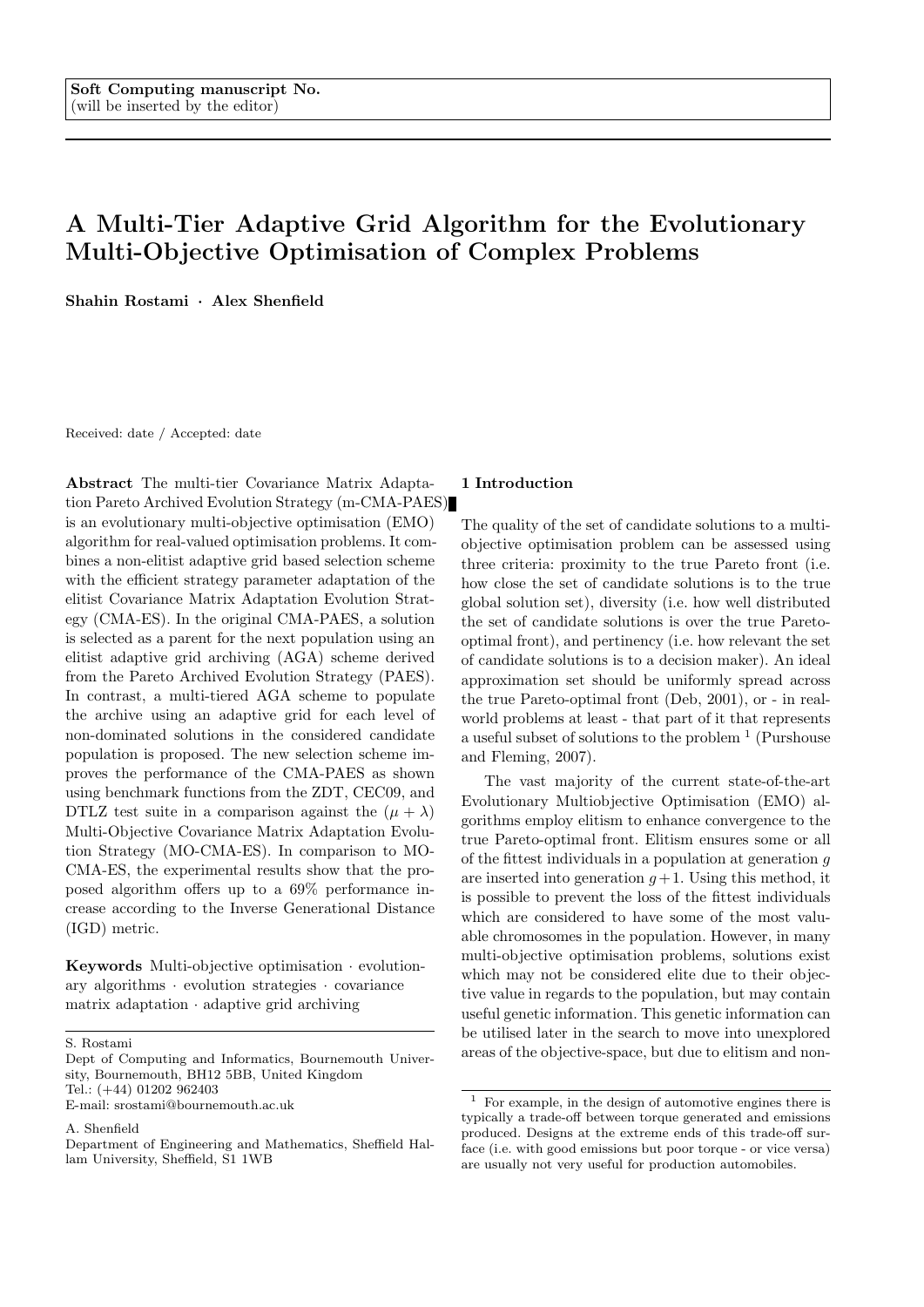# A Multi-Tier Adaptive Grid Algorithm for the Evolutionary Multi-Objective Optimisation of Complex Problems

Shahin Rostami · Alex Shenfield

Received: date / Accepted: date

Abstract The multi-tier Covariance Matrix Adaptation Pareto Archived Evolution Strategy (m-CMA-PAES) is an evolutionary multi-objective optimisation (EMO) algorithm for real-valued optimisation problems. It combines a non-elitist adaptive grid based selection scheme with the efficient strategy parameter adaptation of the elitist Covariance Matrix Adaptation Evolution Strategy (CMA-ES). In the original CMA-PAES, a solution is selected as a parent for the next population using an elitist adaptive grid archiving (AGA) scheme derived from the Pareto Archived Evolution Strategy (PAES). In contrast, a multi-tiered AGA scheme to populate the archive using an adaptive grid for each level of non-dominated solutions in the considered candidate population is proposed. The new selection scheme improves the performance of the CMA-PAES as shown using benchmark functions from the ZDT, CEC09, and DTLZ test suite in a comparison against the  $(\mu + \lambda)$ Multi-Objective Covariance Matrix Adaptation Evolution Strategy (MO-CMA-ES). In comparison to MO-CMA-ES, the experimental results show that the proposed algorithm offers up to a 69% performance increase according to the Inverse Generational Distance (IGD) metric.

Keywords Multi-objective optimisation · evolutionary algorithms · evolution strategies · covariance matrix adaptation  $\cdot$  adaptive grid archiving

S. Rostami

A. Shenfield

## 1 Introduction

The quality of the set of candidate solutions to a multiobjective optimisation problem can be assessed using three criteria: proximity to the true Pareto front (i.e. how close the set of candidate solutions is to the true global solution set), diversity (i.e. how well distributed the set of candidate solutions is over the true Paretooptimal front), and pertinency (i.e. how relevant the set of candidate solutions is to a decision maker). An ideal approximation set should be uniformly spread across the true Pareto-optimal front (Deb, 2001), or - in realworld problems at least - that part of it that represents a useful subset of solutions to the problem  $<sup>1</sup>$  (Purshouse</sup> and Fleming, 2007).

The vast majority of the current state-of-the-art Evolutionary Multiobjective Optimisation (EMO) algorithms employ elitism to enhance convergence to the true Pareto-optimal front. Elitism ensures some or all of the fittest individuals in a population at generation  $q$ are inserted into generation  $q+1$ . Using this method, it is possible to prevent the loss of the fittest individuals which are considered to have some of the most valuable chromosomes in the population. However, in many multi-objective optimisation problems, solutions exist which may not be considered elite due to their objective value in regards to the population, but may contain useful genetic information. This genetic information can be utilised later in the search to move into unexplored areas of the objective-space, but due to elitism and non-

Dept of Computing and Informatics, Bournemouth University, Bournemouth, BH12 5BB, United Kingdom Tel.: (+44) 01202 962403 E-mail: srostami@bournemouth.ac.uk

Department of Engineering and Mathematics, Sheffield Hallam University, Sheffield, S1 1WB

<sup>1</sup> For example, in the design of automotive engines there is typically a trade-off between torque generated and emissions produced. Designs at the extreme ends of this trade-off surface (i.e. with good emissions but poor torque - or vice versa) are usually not very useful for production automobiles.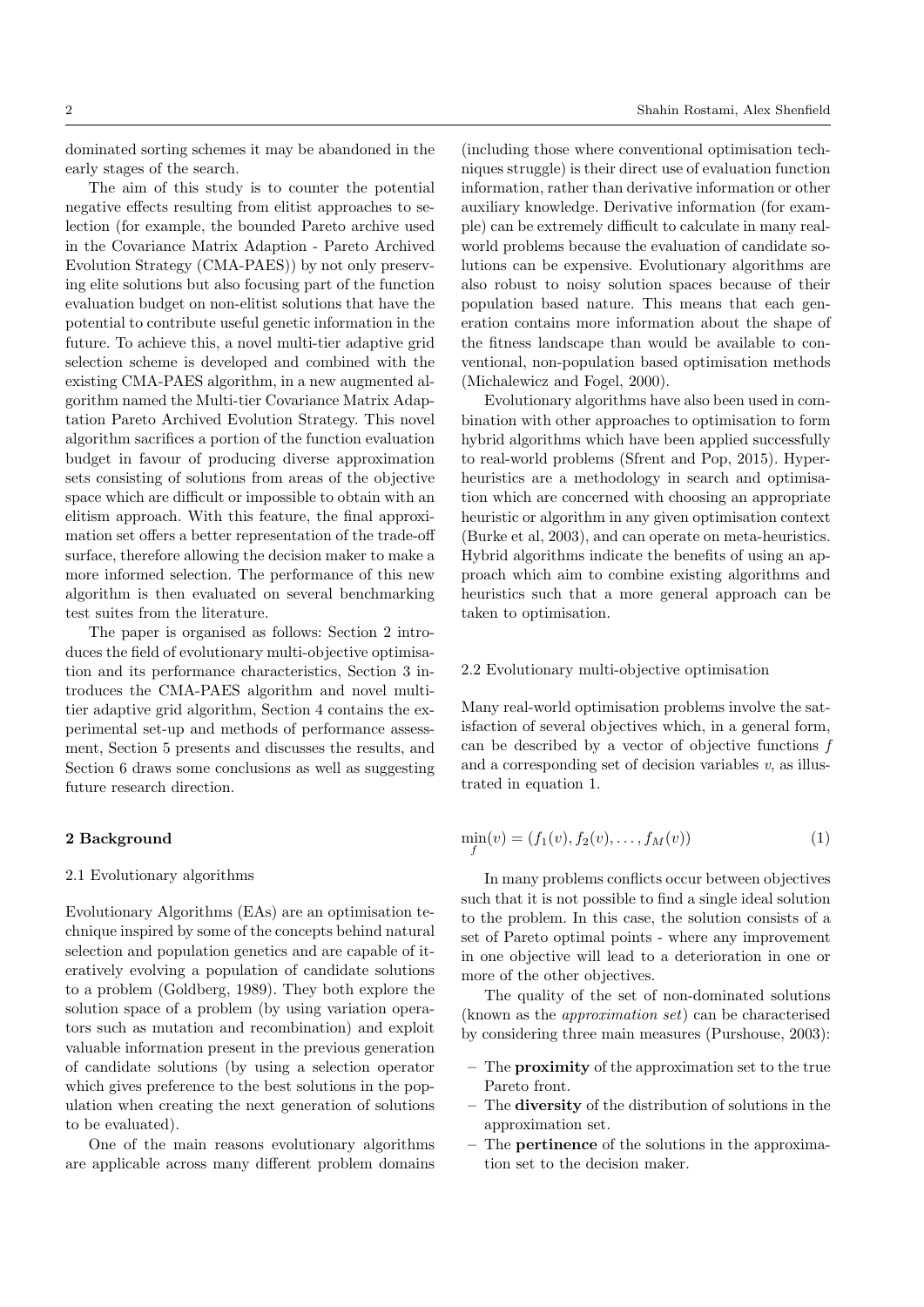dominated sorting schemes it may be abandoned in the early stages of the search.

The aim of this study is to counter the potential negative effects resulting from elitist approaches to selection (for example, the bounded Pareto archive used in the Covariance Matrix Adaption - Pareto Archived Evolution Strategy (CMA-PAES)) by not only preserving elite solutions but also focusing part of the function evaluation budget on non-elitist solutions that have the potential to contribute useful genetic information in the future. To achieve this, a novel multi-tier adaptive grid selection scheme is developed and combined with the existing CMA-PAES algorithm, in a new augmented algorithm named the Multi-tier Covariance Matrix Adaptation Pareto Archived Evolution Strategy. This novel algorithm sacrifices a portion of the function evaluation budget in favour of producing diverse approximation sets consisting of solutions from areas of the objective space which are difficult or impossible to obtain with an elitism approach. With this feature, the final approximation set offers a better representation of the trade-off surface, therefore allowing the decision maker to make a more informed selection. The performance of this new algorithm is then evaluated on several benchmarking test suites from the literature.

The paper is organised as follows: Section 2 introduces the field of evolutionary multi-objective optimisation and its performance characteristics, Section 3 introduces the CMA-PAES algorithm and novel multitier adaptive grid algorithm, Section 4 contains the experimental set-up and methods of performance assessment, Section 5 presents and discusses the results, and Section 6 draws some conclusions as well as suggesting future research direction.

# 2 Background

# 2.1 Evolutionary algorithms

Evolutionary Algorithms (EAs) are an optimisation technique inspired by some of the concepts behind natural selection and population genetics and are capable of iteratively evolving a population of candidate solutions to a problem (Goldberg, 1989). They both explore the solution space of a problem (by using variation operators such as mutation and recombination) and exploit valuable information present in the previous generation of candidate solutions (by using a selection operator which gives preference to the best solutions in the population when creating the next generation of solutions to be evaluated).

One of the main reasons evolutionary algorithms are applicable across many different problem domains

(including those where conventional optimisation techniques struggle) is their direct use of evaluation function information, rather than derivative information or other auxiliary knowledge. Derivative information (for example) can be extremely difficult to calculate in many realworld problems because the evaluation of candidate solutions can be expensive. Evolutionary algorithms are also robust to noisy solution spaces because of their population based nature. This means that each generation contains more information about the shape of the fitness landscape than would be available to conventional, non-population based optimisation methods (Michalewicz and Fogel, 2000).

Evolutionary algorithms have also been used in combination with other approaches to optimisation to form hybrid algorithms which have been applied successfully to real-world problems (Sfrent and Pop, 2015). Hyperheuristics are a methodology in search and optimisation which are concerned with choosing an appropriate heuristic or algorithm in any given optimisation context (Burke et al, 2003), and can operate on meta-heuristics. Hybrid algorithms indicate the benefits of using an approach which aim to combine existing algorithms and heuristics such that a more general approach can be taken to optimisation.

## 2.2 Evolutionary multi-objective optimisation

Many real-world optimisation problems involve the satisfaction of several objectives which, in a general form, can be described by a vector of objective functions  $f$ and a corresponding set of decision variables  $v$ , as illustrated in equation 1.

$$
\min_{f}(v) = (f_1(v), f_2(v), \dots, f_M(v))
$$
\n(1)

In many problems conflicts occur between objectives such that it is not possible to find a single ideal solution to the problem. In this case, the solution consists of a set of Pareto optimal points - where any improvement in one objective will lead to a deterioration in one or more of the other objectives.

The quality of the set of non-dominated solutions (known as the approximation set) can be characterised by considering three main measures (Purshouse, 2003):

- The proximity of the approximation set to the true Pareto front.
- The diversity of the distribution of solutions in the approximation set.
- The pertinence of the solutions in the approximation set to the decision maker.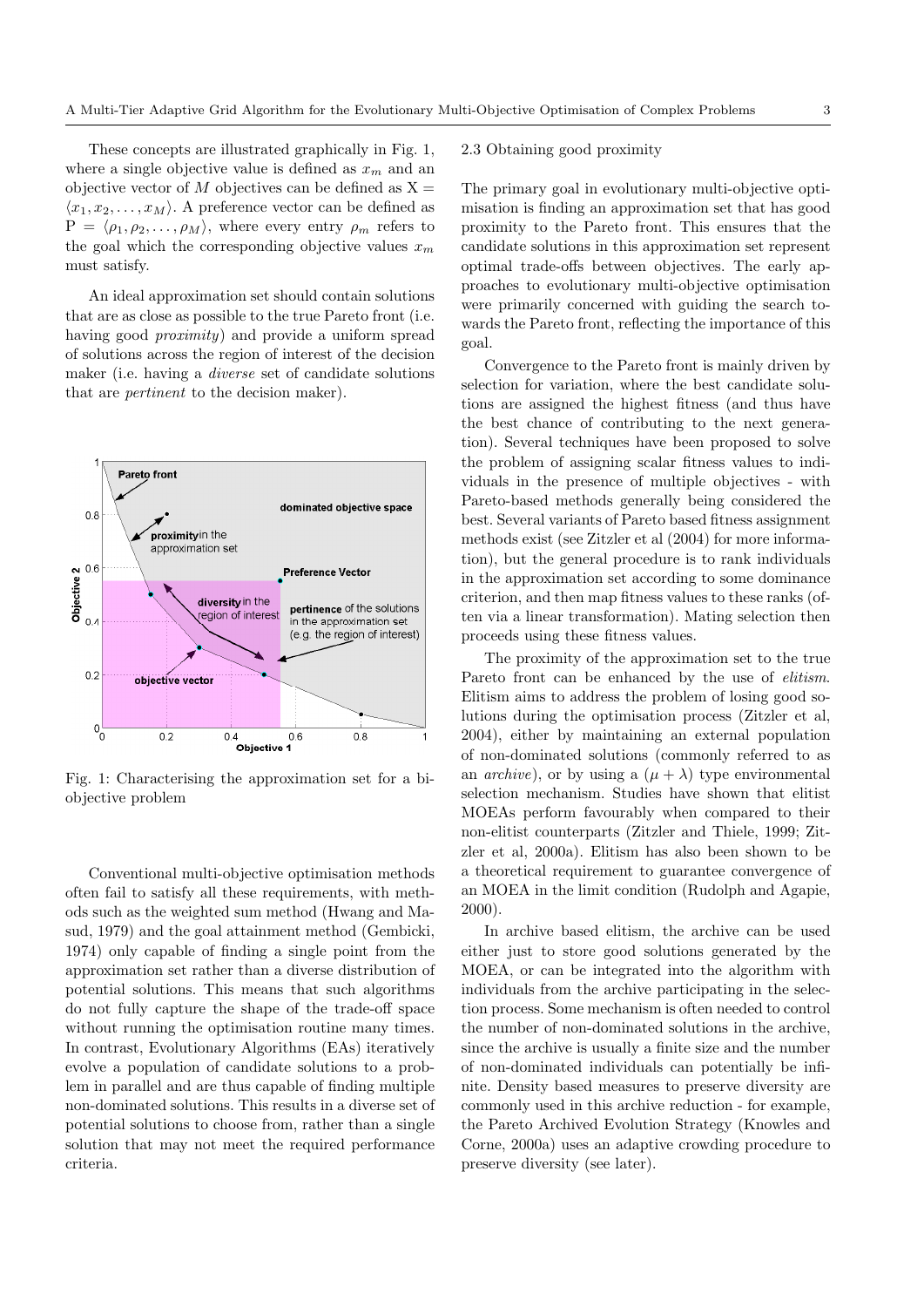These concepts are illustrated graphically in Fig. 1, where a single objective value is defined as  $x_m$  and an objective vector of M objectives can be defined as  $X =$  $\langle x_1, x_2, \ldots, x_M \rangle$ . A preference vector can be defined as  $P = \langle \rho_1, \rho_2, \ldots, \rho_M \rangle$ , where every entry  $\rho_m$  refers to the goal which the corresponding objective values  $x_m$ must satisfy.

An ideal approximation set should contain solutions that are as close as possible to the true Pareto front (i.e. having good *proximity*) and provide a uniform spread of solutions across the region of interest of the decision maker (i.e. having a diverse set of candidate solutions that are pertinent to the decision maker).



Fig. 1: Characterising the approximation set for a biobjective problem

Conventional multi-objective optimisation methods often fail to satisfy all these requirements, with methods such as the weighted sum method (Hwang and Masud, 1979) and the goal attainment method (Gembicki, 1974) only capable of finding a single point from the approximation set rather than a diverse distribution of potential solutions. This means that such algorithms do not fully capture the shape of the trade-off space without running the optimisation routine many times. In contrast, Evolutionary Algorithms (EAs) iteratively evolve a population of candidate solutions to a problem in parallel and are thus capable of finding multiple non-dominated solutions. This results in a diverse set of potential solutions to choose from, rather than a single solution that may not meet the required performance criteria.

# 2.3 Obtaining good proximity

The primary goal in evolutionary multi-objective optimisation is finding an approximation set that has good proximity to the Pareto front. This ensures that the candidate solutions in this approximation set represent optimal trade-offs between objectives. The early approaches to evolutionary multi-objective optimisation were primarily concerned with guiding the search towards the Pareto front, reflecting the importance of this goal.

Convergence to the Pareto front is mainly driven by selection for variation, where the best candidate solutions are assigned the highest fitness (and thus have the best chance of contributing to the next generation). Several techniques have been proposed to solve the problem of assigning scalar fitness values to individuals in the presence of multiple objectives - with Pareto-based methods generally being considered the best. Several variants of Pareto based fitness assignment methods exist (see Zitzler et al (2004) for more information), but the general procedure is to rank individuals in the approximation set according to some dominance criterion, and then map fitness values to these ranks (often via a linear transformation). Mating selection then proceeds using these fitness values.

The proximity of the approximation set to the true Pareto front can be enhanced by the use of *elitism*. Elitism aims to address the problem of losing good solutions during the optimisation process (Zitzler et al, 2004), either by maintaining an external population of non-dominated solutions (commonly referred to as an *archive*), or by using a  $(\mu + \lambda)$  type environmental selection mechanism. Studies have shown that elitist MOEAs perform favourably when compared to their non-elitist counterparts (Zitzler and Thiele, 1999; Zitzler et al, 2000a). Elitism has also been shown to be a theoretical requirement to guarantee convergence of an MOEA in the limit condition (Rudolph and Agapie, 2000).

In archive based elitism, the archive can be used either just to store good solutions generated by the MOEA, or can be integrated into the algorithm with individuals from the archive participating in the selection process. Some mechanism is often needed to control the number of non-dominated solutions in the archive, since the archive is usually a finite size and the number of non-dominated individuals can potentially be infinite. Density based measures to preserve diversity are commonly used in this archive reduction - for example, the Pareto Archived Evolution Strategy (Knowles and Corne, 2000a) uses an adaptive crowding procedure to preserve diversity (see later).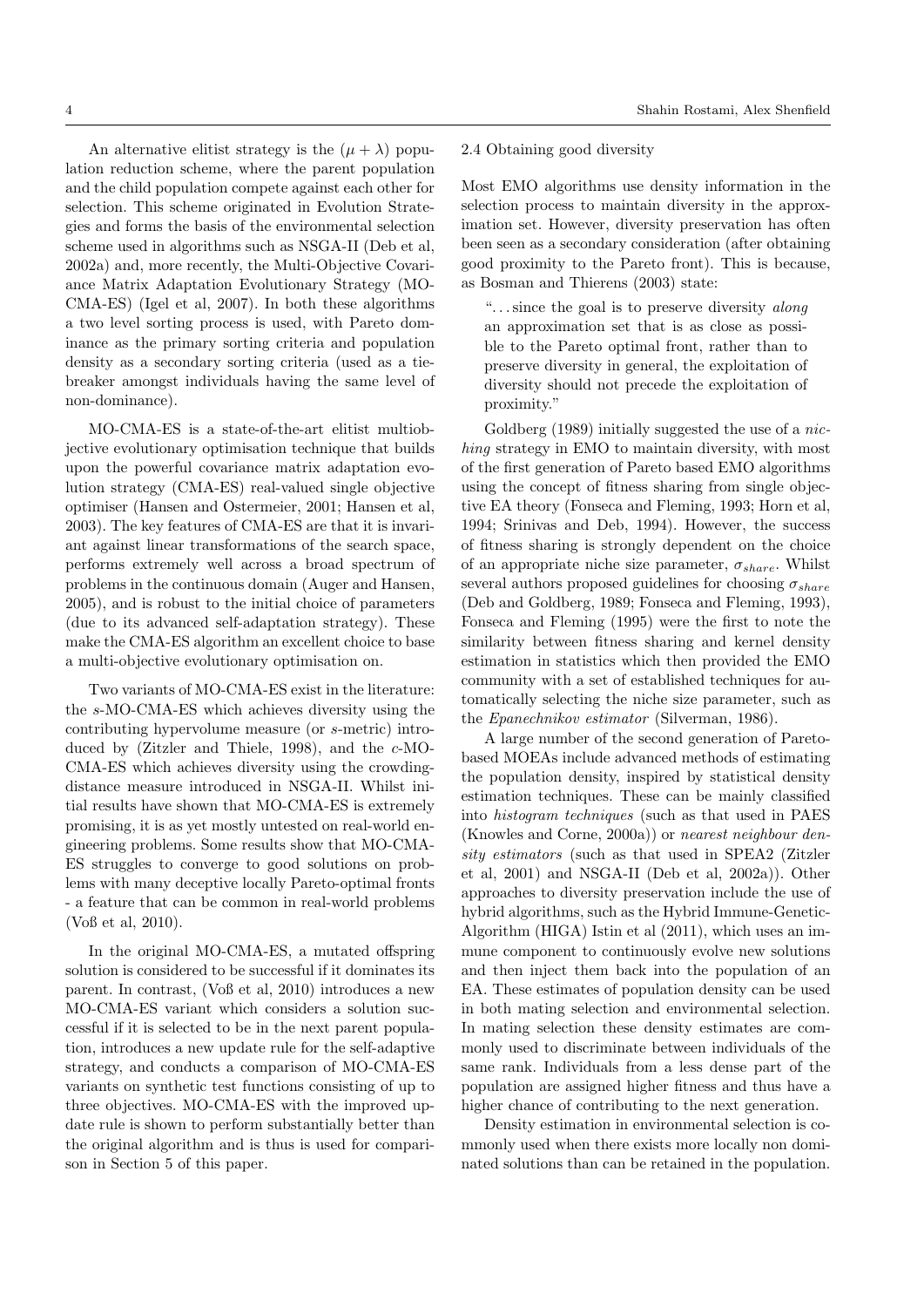An alternative elitist strategy is the  $(\mu + \lambda)$  population reduction scheme, where the parent population and the child population compete against each other for selection. This scheme originated in Evolution Strategies and forms the basis of the environmental selection scheme used in algorithms such as NSGA-II (Deb et al, 2002a) and, more recently, the Multi-Objective Covariance Matrix Adaptation Evolutionary Strategy (MO-CMA-ES) (Igel et al, 2007). In both these algorithms a two level sorting process is used, with Pareto dominance as the primary sorting criteria and population density as a secondary sorting criteria (used as a tiebreaker amongst individuals having the same level of non-dominance).

MO-CMA-ES is a state-of-the-art elitist multiobjective evolutionary optimisation technique that builds upon the powerful covariance matrix adaptation evolution strategy (CMA-ES) real-valued single objective optimiser (Hansen and Ostermeier, 2001; Hansen et al, 2003). The key features of CMA-ES are that it is invariant against linear transformations of the search space, performs extremely well across a broad spectrum of problems in the continuous domain (Auger and Hansen, 2005), and is robust to the initial choice of parameters (due to its advanced self-adaptation strategy). These make the CMA-ES algorithm an excellent choice to base a multi-objective evolutionary optimisation on.

Two variants of MO-CMA-ES exist in the literature: the s-MO-CMA-ES which achieves diversity using the contributing hypervolume measure (or s-metric) introduced by (Zitzler and Thiele, 1998), and the c-MO-CMA-ES which achieves diversity using the crowdingdistance measure introduced in NSGA-II. Whilst initial results have shown that MO-CMA-ES is extremely promising, it is as yet mostly untested on real-world engineering problems. Some results show that MO-CMA-ES struggles to converge to good solutions on problems with many deceptive locally Pareto-optimal fronts - a feature that can be common in real-world problems (Voß et al, 2010).

In the original MO-CMA-ES, a mutated offspring solution is considered to be successful if it dominates its parent. In contrast, (Voß et al, 2010) introduces a new MO-CMA-ES variant which considers a solution successful if it is selected to be in the next parent population, introduces a new update rule for the self-adaptive strategy, and conducts a comparison of MO-CMA-ES variants on synthetic test functions consisting of up to three objectives. MO-CMA-ES with the improved update rule is shown to perform substantially better than the original algorithm and is thus is used for comparison in Section 5 of this paper.

## 2.4 Obtaining good diversity

Most EMO algorithms use density information in the selection process to maintain diversity in the approximation set. However, diversity preservation has often been seen as a secondary consideration (after obtaining good proximity to the Pareto front). This is because, as Bosman and Thierens (2003) state:

"... since the goal is to preserve diversity *along* an approximation set that is as close as possible to the Pareto optimal front, rather than to preserve diversity in general, the exploitation of diversity should not precede the exploitation of proximity."

Goldberg (1989) initially suggested the use of a *nic*hing strategy in EMO to maintain diversity, with most of the first generation of Pareto based EMO algorithms using the concept of fitness sharing from single objective EA theory (Fonseca and Fleming, 1993; Horn et al, 1994; Srinivas and Deb, 1994). However, the success of fitness sharing is strongly dependent on the choice of an appropriate niche size parameter,  $\sigma_{share}$ . Whilst several authors proposed guidelines for choosing  $\sigma_{share}$ (Deb and Goldberg, 1989; Fonseca and Fleming, 1993), Fonseca and Fleming (1995) were the first to note the similarity between fitness sharing and kernel density estimation in statistics which then provided the EMO community with a set of established techniques for automatically selecting the niche size parameter, such as the Epanechnikov estimator (Silverman, 1986).

A large number of the second generation of Paretobased MOEAs include advanced methods of estimating the population density, inspired by statistical density estimation techniques. These can be mainly classified into histogram techniques (such as that used in PAES (Knowles and Corne, 2000a)) or nearest neighbour density estimators (such as that used in SPEA2 (Zitzler et al, 2001) and NSGA-II (Deb et al, 2002a)). Other approaches to diversity preservation include the use of hybrid algorithms, such as the Hybrid Immune-Genetic-Algorithm (HIGA) Istin et al (2011), which uses an immune component to continuously evolve new solutions and then inject them back into the population of an EA. These estimates of population density can be used in both mating selection and environmental selection. In mating selection these density estimates are commonly used to discriminate between individuals of the same rank. Individuals from a less dense part of the population are assigned higher fitness and thus have a higher chance of contributing to the next generation.

Density estimation in environmental selection is commonly used when there exists more locally non dominated solutions than can be retained in the population.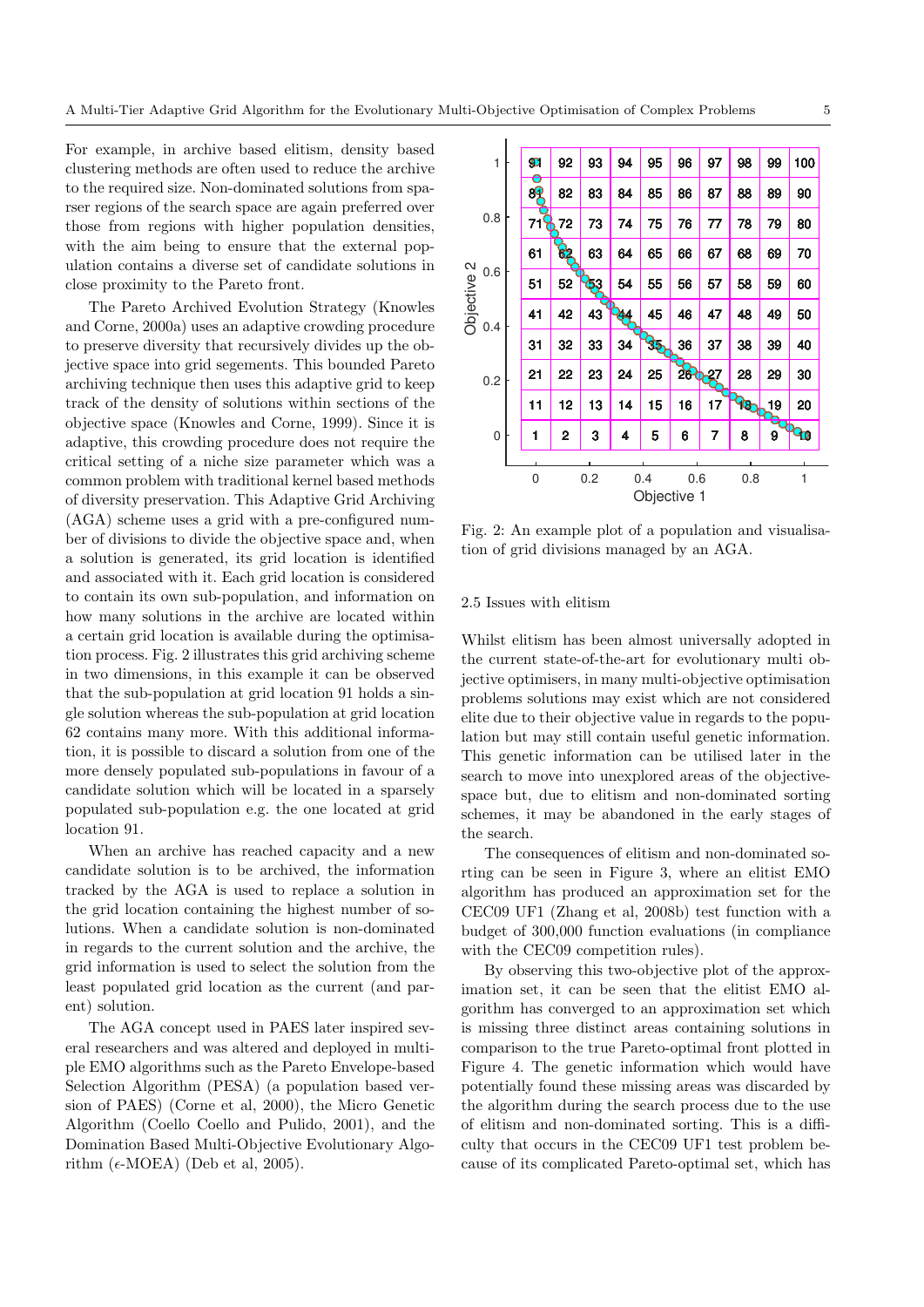For example, in archive based elitism, density based clustering methods are often used to reduce the archive to the required size. Non-dominated solutions from sparser regions of the search space are again preferred over those from regions with higher population densities, with the aim being to ensure that the external population contains a diverse set of candidate solutions in close proximity to the Pareto front.

The Pareto Archived Evolution Strategy (Knowles and Corne, 2000a) uses an adaptive crowding procedure to preserve diversity that recursively divides up the objective space into grid segements. This bounded Pareto archiving technique then uses this adaptive grid to keep track of the density of solutions within sections of the objective space (Knowles and Corne, 1999). Since it is adaptive, this crowding procedure does not require the critical setting of a niche size parameter which was a common problem with traditional kernel based methods of diversity preservation. This Adaptive Grid Archiving (AGA) scheme uses a grid with a pre-configured number of divisions to divide the objective space and, when a solution is generated, its grid location is identified and associated with it. Each grid location is considered to contain its own sub-population, and information on how many solutions in the archive are located within a certain grid location is available during the optimisation process. Fig. 2 illustrates this grid archiving scheme in two dimensions, in this example it can be observed that the sub-population at grid location 91 holds a single solution whereas the sub-population at grid location 62 contains many more. With this additional information, it is possible to discard a solution from one of the more densely populated sub-populations in favour of a candidate solution which will be located in a sparsely populated sub-population e.g. the one located at grid location 91.

When an archive has reached capacity and a new candidate solution is to be archived, the information tracked by the AGA is used to replace a solution in the grid location containing the highest number of solutions. When a candidate solution is non-dominated in regards to the current solution and the archive, the grid information is used to select the solution from the least populated grid location as the current (and parent) solution.

The AGA concept used in PAES later inspired several researchers and was altered and deployed in multiple EMO algorithms such as the Pareto Envelope-based Selection Algorithm (PESA) (a population based version of PAES) (Corne et al, 2000), the Micro Genetic Algorithm (Coello Coello and Pulido, 2001), and the Domination Based Multi-Objective Evolutionary Algorithm ( $\epsilon$ -MOEA) (Deb et al, 2005).

| $\mathbf{1}$       | D       | 92                       | 93 | 94 | 95          | 96    | 97 | 98 | 99                 | 100 |  |  |  |  |
|--------------------|---------|--------------------------|----|----|-------------|-------|----|----|--------------------|-----|--|--|--|--|
|                    | යඉ      | 82                       | 83 | 84 | 85          | 86    | 87 | 88 | 89                 | 90  |  |  |  |  |
| 0.8                | ႙<br>71 | 72                       | 73 | 74 | 75          | 76    | 77 | 78 | 79                 | 80  |  |  |  |  |
|                    | 61      | 62                       | 63 | 64 | 65          | 66    | 67 | 68 | 69                 | 70  |  |  |  |  |
| Objective 2<br>0.6 | 51      | 52                       | භූ | 54 | 55          | 56    | 57 | 58 | 59                 | 60  |  |  |  |  |
| 0.4                | 41      | 42                       | 43 | 44 | 45          | 46    | 47 | 48 | 49                 | 50  |  |  |  |  |
|                    | 31      | 32                       | 33 | 34 | BE          | 36    | 37 | 38 | 39                 | 40  |  |  |  |  |
| 0.2                | 21      | 22                       | 23 | 24 | 25          | 26427 |    | 28 | 29                 | 30  |  |  |  |  |
|                    | 11      | 12                       | 13 | 14 | 15          | 16    | 17 |    | <b>Proposition</b> |     |  |  |  |  |
| 0                  | 1       | $\overline{c}$           | 3  | 4  | 5           | 6     | 7  |    |                    |     |  |  |  |  |
|                    |         |                          |    |    |             |       |    |    |                    |     |  |  |  |  |
|                    | 0       | 0.2<br>0.6<br>0.8<br>0.4 |    |    |             |       |    |    | 1                  |     |  |  |  |  |
|                    |         |                          |    |    | Objective 1 |       |    |    |                    |     |  |  |  |  |

Fig. 2: An example plot of a population and visualisation of grid divisions managed by an AGA.

## 2.5 Issues with elitism

Whilst elitism has been almost universally adopted in the current state-of-the-art for evolutionary multi objective optimisers, in many multi-objective optimisation problems solutions may exist which are not considered elite due to their objective value in regards to the population but may still contain useful genetic information. This genetic information can be utilised later in the search to move into unexplored areas of the objectivespace but, due to elitism and non-dominated sorting schemes, it may be abandoned in the early stages of the search.

The consequences of elitism and non-dominated sorting can be seen in Figure 3, where an elitist EMO algorithm has produced an approximation set for the CEC09 UF1 (Zhang et al, 2008b) test function with a budget of 300,000 function evaluations (in compliance with the CEC09 competition rules).

By observing this two-objective plot of the approximation set, it can be seen that the elitist EMO algorithm has converged to an approximation set which is missing three distinct areas containing solutions in comparison to the true Pareto-optimal front plotted in Figure 4. The genetic information which would have potentially found these missing areas was discarded by the algorithm during the search process due to the use of elitism and non-dominated sorting. This is a difficulty that occurs in the CEC09 UF1 test problem because of its complicated Pareto-optimal set, which has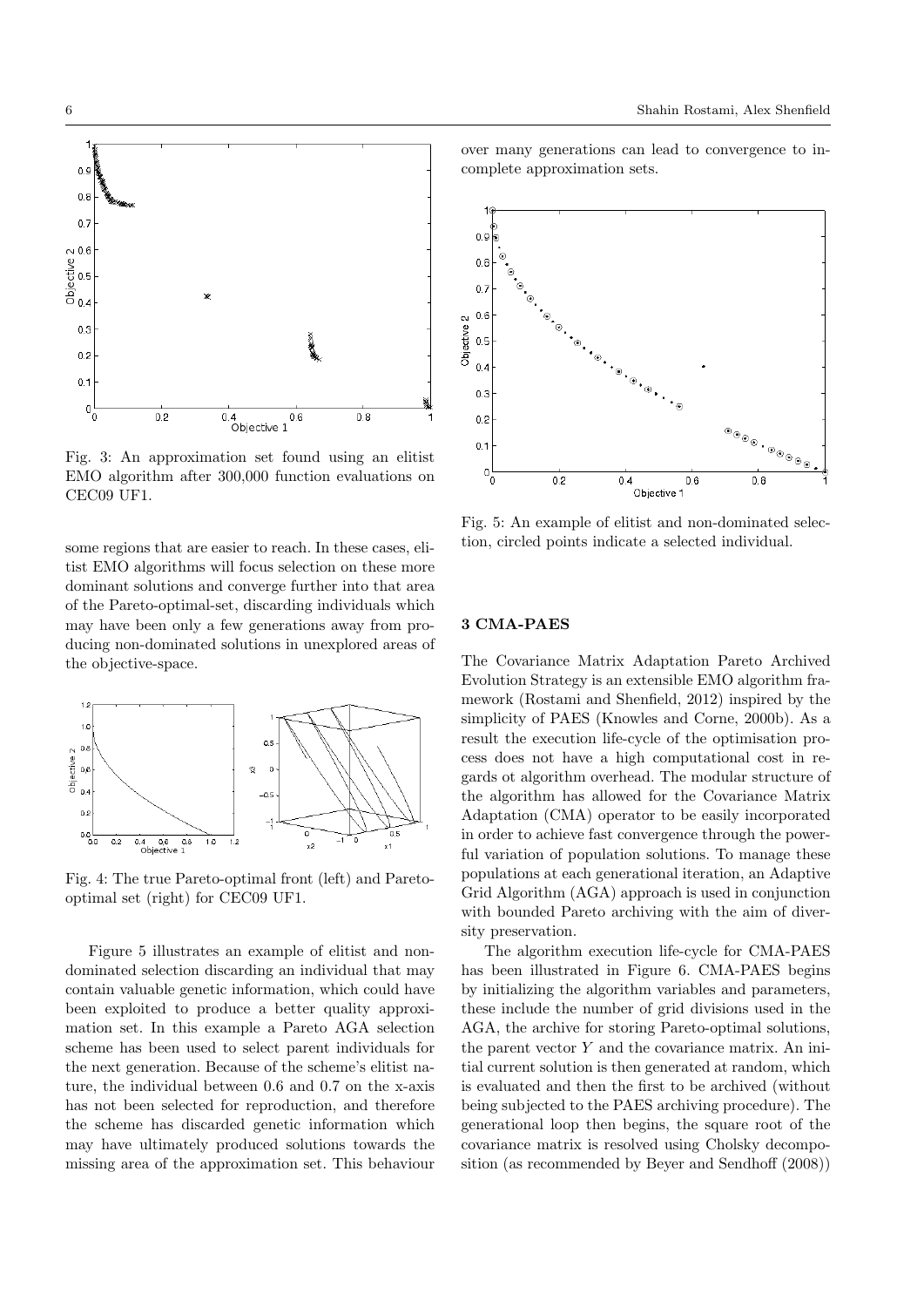

Fig. 3: An approximation set found using an elitist EMO algorithm after 300,000 function evaluations on CEC09 UF1.

some regions that are easier to reach. In these cases, elitist EMO algorithms will focus selection on these more dominant solutions and converge further into that area of the Pareto-optimal-set, discarding individuals which may have been only a few generations away from producing non-dominated solutions in unexplored areas of the objective-space.



Fig. 4: The true Pareto-optimal front (left) and Paretooptimal set (right) for CEC09 UF1.

Figure 5 illustrates an example of elitist and nondominated selection discarding an individual that may contain valuable genetic information, which could have been exploited to produce a better quality approximation set. In this example a Pareto AGA selection scheme has been used to select parent individuals for the next generation. Because of the scheme's elitist nature, the individual between 0.6 and 0.7 on the x-axis has not been selected for reproduction, and therefore the scheme has discarded genetic information which may have ultimately produced solutions towards the missing area of the approximation set. This behaviour

over many generations can lead to convergence to incomplete approximation sets.



Fig. 5: An example of elitist and non-dominated selection, circled points indicate a selected individual.

## 3 CMA-PAES

The Covariance Matrix Adaptation Pareto Archived Evolution Strategy is an extensible EMO algorithm framework (Rostami and Shenfield, 2012) inspired by the simplicity of PAES (Knowles and Corne, 2000b). As a result the execution life-cycle of the optimisation process does not have a high computational cost in regards ot algorithm overhead. The modular structure of the algorithm has allowed for the Covariance Matrix Adaptation (CMA) operator to be easily incorporated in order to achieve fast convergence through the powerful variation of population solutions. To manage these populations at each generational iteration, an Adaptive Grid Algorithm (AGA) approach is used in conjunction with bounded Pareto archiving with the aim of diversity preservation.

The algorithm execution life-cycle for CMA-PAES has been illustrated in Figure 6. CMA-PAES begins by initializing the algorithm variables and parameters, these include the number of grid divisions used in the AGA, the archive for storing Pareto-optimal solutions, the parent vector  $Y$  and the covariance matrix. An initial current solution is then generated at random, which is evaluated and then the first to be archived (without being subjected to the PAES archiving procedure). The generational loop then begins, the square root of the covariance matrix is resolved using Cholsky decomposition (as recommended by Beyer and Sendhoff (2008))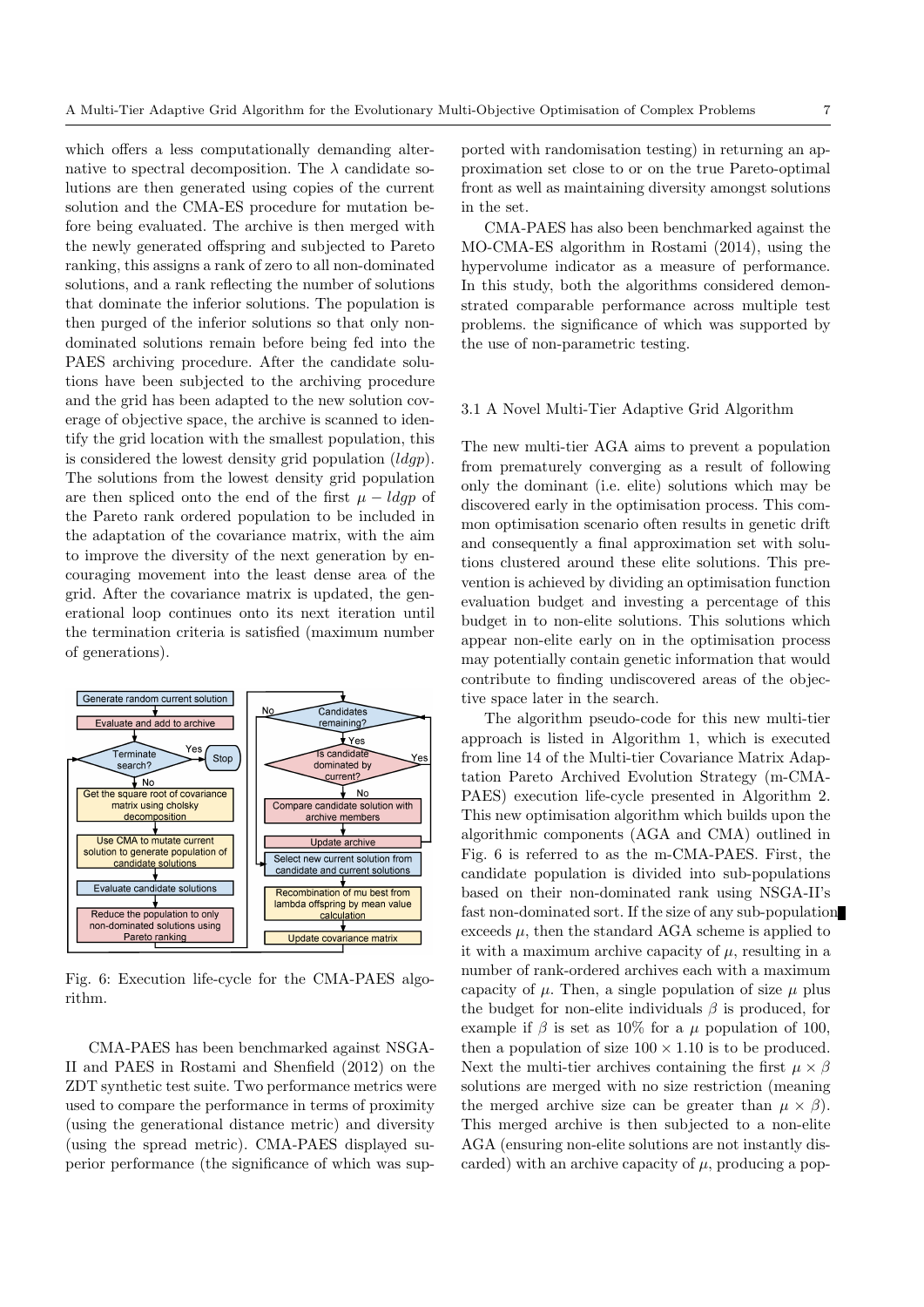which offers a less computationally demanding alternative to spectral decomposition. The  $\lambda$  candidate solutions are then generated using copies of the current solution and the CMA-ES procedure for mutation before being evaluated. The archive is then merged with the newly generated offspring and subjected to Pareto ranking, this assigns a rank of zero to all non-dominated solutions, and a rank reflecting the number of solutions that dominate the inferior solutions. The population is then purged of the inferior solutions so that only nondominated solutions remain before being fed into the PAES archiving procedure. After the candidate solutions have been subjected to the archiving procedure and the grid has been adapted to the new solution coverage of objective space, the archive is scanned to identify the grid location with the smallest population, this is considered the lowest density grid population  $(ldqp)$ . The solutions from the lowest density grid population are then spliced onto the end of the first  $\mu - \ell dgp$  of the Pareto rank ordered population to be included in the adaptation of the covariance matrix, with the aim to improve the diversity of the next generation by encouraging movement into the least dense area of the grid. After the covariance matrix is updated, the generational loop continues onto its next iteration until the termination criteria is satisfied (maximum number of generations).



Fig. 6: Execution life-cycle for the CMA-PAES algorithm.

CMA-PAES has been benchmarked against NSGA-II and PAES in Rostami and Shenfield (2012) on the ZDT synthetic test suite. Two performance metrics were used to compare the performance in terms of proximity (using the generational distance metric) and diversity (using the spread metric). CMA-PAES displayed superior performance (the significance of which was supported with randomisation testing) in returning an approximation set close to or on the true Pareto-optimal front as well as maintaining diversity amongst solutions in the set.

CMA-PAES has also been benchmarked against the MO-CMA-ES algorithm in Rostami (2014), using the hypervolume indicator as a measure of performance. In this study, both the algorithms considered demonstrated comparable performance across multiple test problems. the significance of which was supported by the use of non-parametric testing.

# 3.1 A Novel Multi-Tier Adaptive Grid Algorithm

The new multi-tier AGA aims to prevent a population from prematurely converging as a result of following only the dominant (i.e. elite) solutions which may be discovered early in the optimisation process. This common optimisation scenario often results in genetic drift and consequently a final approximation set with solutions clustered around these elite solutions. This prevention is achieved by dividing an optimisation function evaluation budget and investing a percentage of this budget in to non-elite solutions. This solutions which appear non-elite early on in the optimisation process may potentially contain genetic information that would contribute to finding undiscovered areas of the objective space later in the search.

The algorithm pseudo-code for this new multi-tier approach is listed in Algorithm 1, which is executed from line 14 of the Multi-tier Covariance Matrix Adaptation Pareto Archived Evolution Strategy (m-CMA-PAES) execution life-cycle presented in Algorithm 2. This new optimisation algorithm which builds upon the algorithmic components (AGA and CMA) outlined in Fig. 6 is referred to as the m-CMA-PAES. First, the candidate population is divided into sub-populations based on their non-dominated rank using NSGA-II's fast non-dominated sort. If the size of any sub-population exceeds  $\mu$ , then the standard AGA scheme is applied to it with a maximum archive capacity of  $\mu$ , resulting in a number of rank-ordered archives each with a maximum capacity of  $\mu$ . Then, a single population of size  $\mu$  plus the budget for non-elite individuals  $\beta$  is produced, for example if  $\beta$  is set as 10% for a  $\mu$  population of 100, then a population of size  $100 \times 1.10$  is to be produced. Next the multi-tier archives containing the first  $\mu \times \beta$ solutions are merged with no size restriction (meaning the merged archive size can be greater than  $\mu \times \beta$ ). This merged archive is then subjected to a non-elite AGA (ensuring non-elite solutions are not instantly discarded) with an archive capacity of  $\mu$ , producing a pop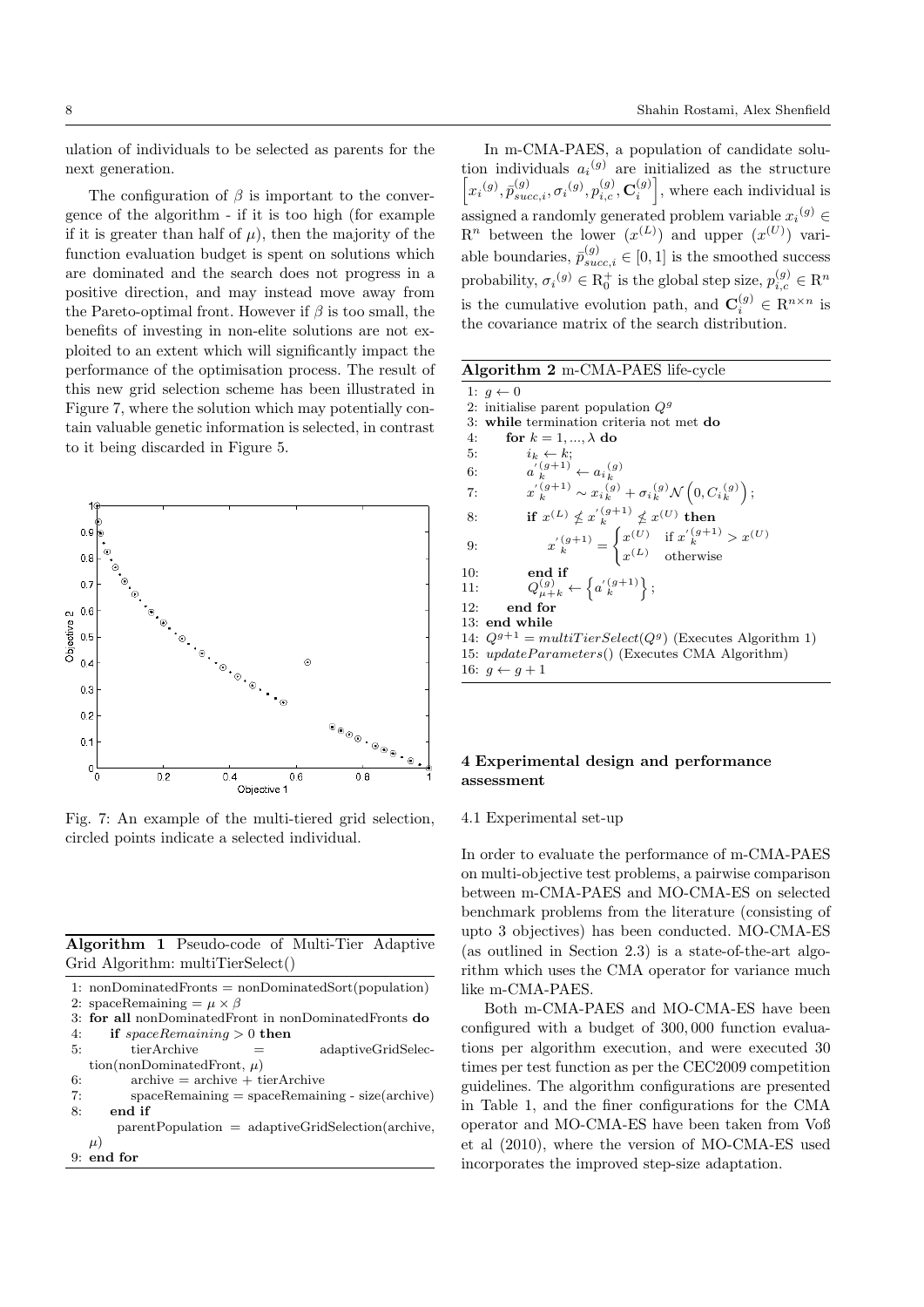ulation of individuals to be selected as parents for the next generation.

The configuration of  $\beta$  is important to the convergence of the algorithm - if it is too high (for example if it is greater than half of  $\mu$ ), then the majority of the function evaluation budget is spent on solutions which are dominated and the search does not progress in a positive direction, and may instead move away from the Pareto-optimal front. However if  $\beta$  is too small, the benefits of investing in non-elite solutions are not exploited to an extent which will significantly impact the performance of the optimisation process. The result of this new grid selection scheme has been illustrated in Figure 7, where the solution which may potentially contain valuable genetic information is selected, in contrast to it being discarded in Figure 5.



Fig. 7: An example of the multi-tiered grid selection, circled points indicate a selected individual.

Algorithm 1 Pseudo-code of Multi-Tier Adaptive Grid Algorithm: multiTierSelect()

- 1: nonDominatedFronts = nonDominatedSort(population)
- 2: spaceRemaining =  $\mu \times \beta$
- 3: for all nonDominatedFront in nonDominatedFronts do 4: **if**  $spaceRemaining > 0$  then
- 5: tierArchive = adaptiveGridSelection(nonDominatedFront,  $\mu$ )
- 6:  $\archive = \text{archive} + \text{tierArchive}$
- 7: spaceRemaining = spaceRemaining size(archive) 8: end if
- parentPopulation = adaptiveGridSelection(archive,  $\mu$ )

9: end for

8 Shahin Rostami, Alex Shenfield

In m-CMA-PAES, a population of candidate solution individuals  $a_i^{(g)}$  are initialized as the structure  $\left[x_i^{(g)}, \bar{p}_{succ,i}^{(g)}, \sigma_i^{(g)}, p_{i,c}^{(g)}, \mathbf{C}_i^{(g)}\right]$ , where each individual is assigned a randomly generated problem variable  $x_i^{(g)} \in$  $\mathbb{R}^n$  between the lower  $(x^{(L)})$  and upper  $(x^{(U)})$  variable boundaries,  $\bar{p}_{succ,i}^{(g)} \in [0,1]$  is the smoothed success probability,  $\sigma_i^{(g)} \in \mathbb{R}_0^+$  is the global step size,  $p_{i,c}^{(g)} \in \mathbb{R}^n$ is the cumulative evolution path, and  $\mathbf{C}_i^{(g)} \in \mathbb{R}^{n \times n}$  is the covariance matrix of the search distribution.

|  | Algorithm 2 m-CMA-PAES life-cycle |  |
|--|-----------------------------------|--|
|  |                                   |  |

1:  $g \leftarrow 0$ 2: initialise parent population  $Q<sup>g</sup>$ 3: while termination criteria not met do 4: for  $k = 1, ..., \lambda$  do 5:  $i_k \leftarrow k;$ 6:  $a'_{k}^{(g+1)} \leftarrow a_{i}^{(g)}$ <br>7:  $x'_{k}^{(g+1)} \sim x_{i}^{(g)} + \sigma_{i}^{(g)} \mathcal{N}\left(0, C_{i}^{(g)}\right);$  $7:$ 8: if  $x^{(L)} \nleq x'_{k}^{(g+1)} \nleq x^{(U)}$  then 9:  $x'_{k}^{(g+1)} =$  $\int x^{(U)}$  if  $x'_{k}^{(g+1)} > x^{(U)}$  $x^{(L)}$  otherwise 10: **end if**<br>  $Q_{\mu+k}^{(g)} \leftarrow \left\{ a'_{k}^{(g+1)} \right\};$  $11:$ 12: end for 13: end while 14:  $Q^{g+1} = multiTierSelect(Q^g)$  (Executes Algorithm 1) 15: updateParameters() (Executes CMA Algorithm) 16:  $g \leftarrow g + 1$ 

# 4 Experimental design and performance assessment

#### 4.1 Experimental set-up

In order to evaluate the performance of m-CMA-PAES on multi-objective test problems, a pairwise comparison between m-CMA-PAES and MO-CMA-ES on selected benchmark problems from the literature (consisting of upto 3 objectives) has been conducted. MO-CMA-ES (as outlined in Section 2.3) is a state-of-the-art algorithm which uses the CMA operator for variance much like m-CMA-PAES.

Both m-CMA-PAES and MO-CMA-ES have been configured with a budget of 300, 000 function evaluations per algorithm execution, and were executed 30 times per test function as per the CEC2009 competition guidelines. The algorithm configurations are presented in Table 1, and the finer configurations for the CMA operator and MO-CMA-ES have been taken from Voß et al (2010), where the version of MO-CMA-ES used incorporates the improved step-size adaptation.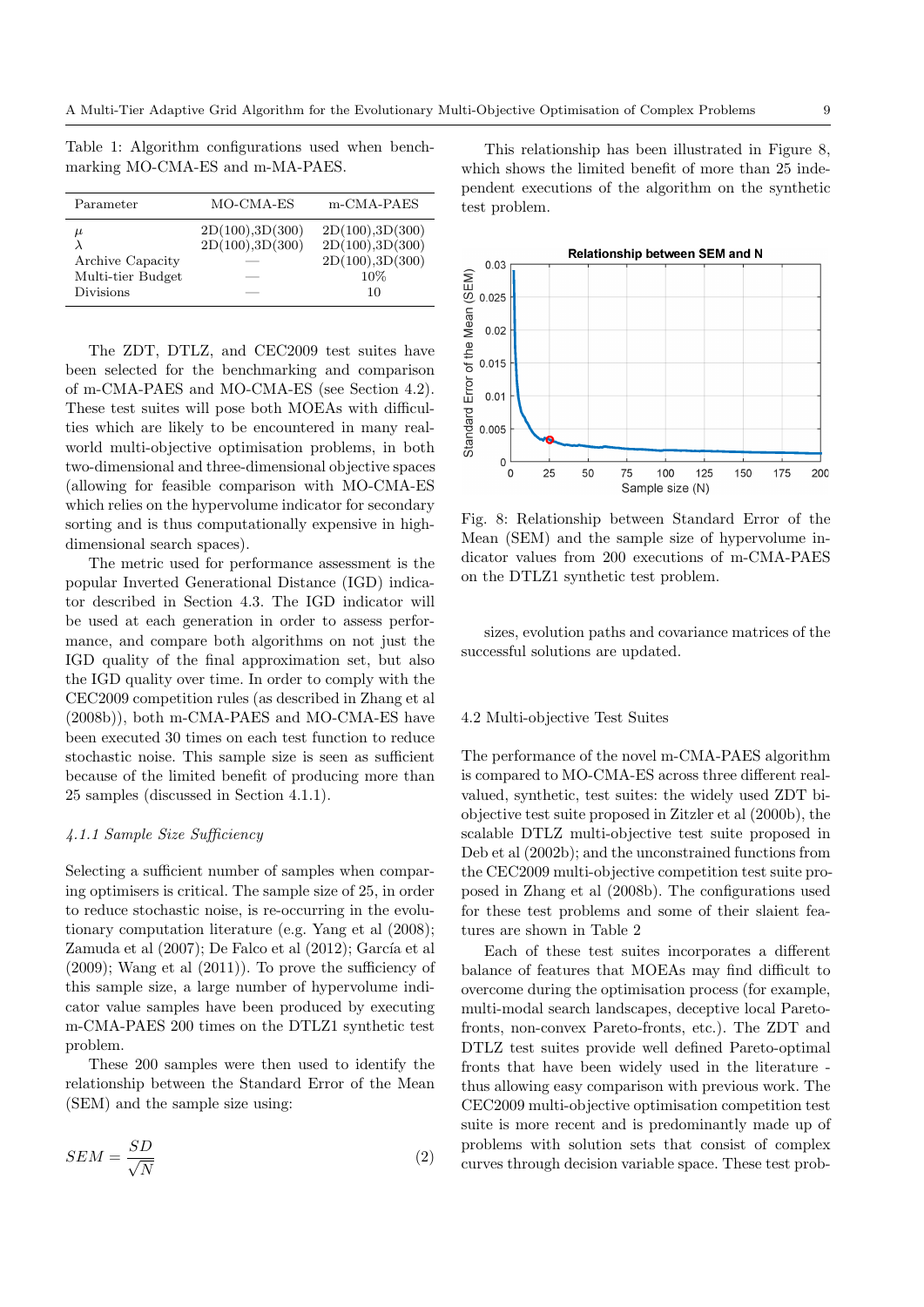Table 1: Algorithm configurations used when benchmarking MO-CMA-ES and m-MA-PAES.

| Parameter                             | MO-CMA-ES                            | m-CMA-PAES                           |
|---------------------------------------|--------------------------------------|--------------------------------------|
| $\mu$                                 | 2D(100), 3D(300)<br>2D(100), 3D(300) | 2D(100), 3D(300)<br>2D(100), 3D(300) |
| Archive Capacity                      |                                      | 2D(100), 3D(300)                     |
| Multi-tier Budget<br><b>Divisions</b> |                                      | 10%<br>10                            |
|                                       |                                      |                                      |

The ZDT, DTLZ, and CEC2009 test suites have been selected for the benchmarking and comparison of m-CMA-PAES and MO-CMA-ES (see Section 4.2). These test suites will pose both MOEAs with difficulties which are likely to be encountered in many realworld multi-objective optimisation problems, in both two-dimensional and three-dimensional objective spaces (allowing for feasible comparison with MO-CMA-ES which relies on the hypervolume indicator for secondary sorting and is thus computationally expensive in highdimensional search spaces).

The metric used for performance assessment is the popular Inverted Generational Distance (IGD) indicator described in Section 4.3. The IGD indicator will be used at each generation in order to assess performance, and compare both algorithms on not just the IGD quality of the final approximation set, but also the IGD quality over time. In order to comply with the CEC2009 competition rules (as described in Zhang et al (2008b)), both m-CMA-PAES and MO-CMA-ES have been executed 30 times on each test function to reduce stochastic noise. This sample size is seen as sufficient because of the limited benefit of producing more than 25 samples (discussed in Section 4.1.1).

## 4.1.1 Sample Size Sufficiency

Selecting a sufficient number of samples when comparing optimisers is critical. The sample size of 25, in order to reduce stochastic noise, is re-occurring in the evolutionary computation literature (e.g. Yang et al (2008); Zamuda et al  $(2007)$ ; De Falco et al  $(2012)$ ; García et al  $(2009)$ ; Wang et al  $(2011)$ ). To prove the sufficiency of this sample size, a large number of hypervolume indicator value samples have been produced by executing m-CMA-PAES 200 times on the DTLZ1 synthetic test problem.

These 200 samples were then used to identify the relationship between the Standard Error of the Mean (SEM) and the sample size using:

$$
SEM = \frac{SD}{\sqrt{N}}
$$
\n<sup>(2)</sup>

This relationship has been illustrated in Figure 8, which shows the limited benefit of more than 25 independent executions of the algorithm on the synthetic test problem.



Fig. 8: Relationship between Standard Error of the Mean (SEM) and the sample size of hypervolume indicator values from 200 executions of m-CMA-PAES on the DTLZ1 synthetic test problem.

sizes, evolution paths and covariance matrices of the successful solutions are updated.

## 4.2 Multi-objective Test Suites

The performance of the novel m-CMA-PAES algorithm is compared to MO-CMA-ES across three different realvalued, synthetic, test suites: the widely used ZDT biobjective test suite proposed in Zitzler et al (2000b), the scalable DTLZ multi-objective test suite proposed in Deb et al (2002b); and the unconstrained functions from the CEC2009 multi-objective competition test suite proposed in Zhang et al (2008b). The configurations used for these test problems and some of their slaient features are shown in Table 2

Each of these test suites incorporates a different balance of features that MOEAs may find difficult to overcome during the optimisation process (for example, multi-modal search landscapes, deceptive local Paretofronts, non-convex Pareto-fronts, etc.). The ZDT and DTLZ test suites provide well defined Pareto-optimal fronts that have been widely used in the literature thus allowing easy comparison with previous work. The CEC2009 multi-objective optimisation competition test suite is more recent and is predominantly made up of problems with solution sets that consist of complex curves through decision variable space. These test prob-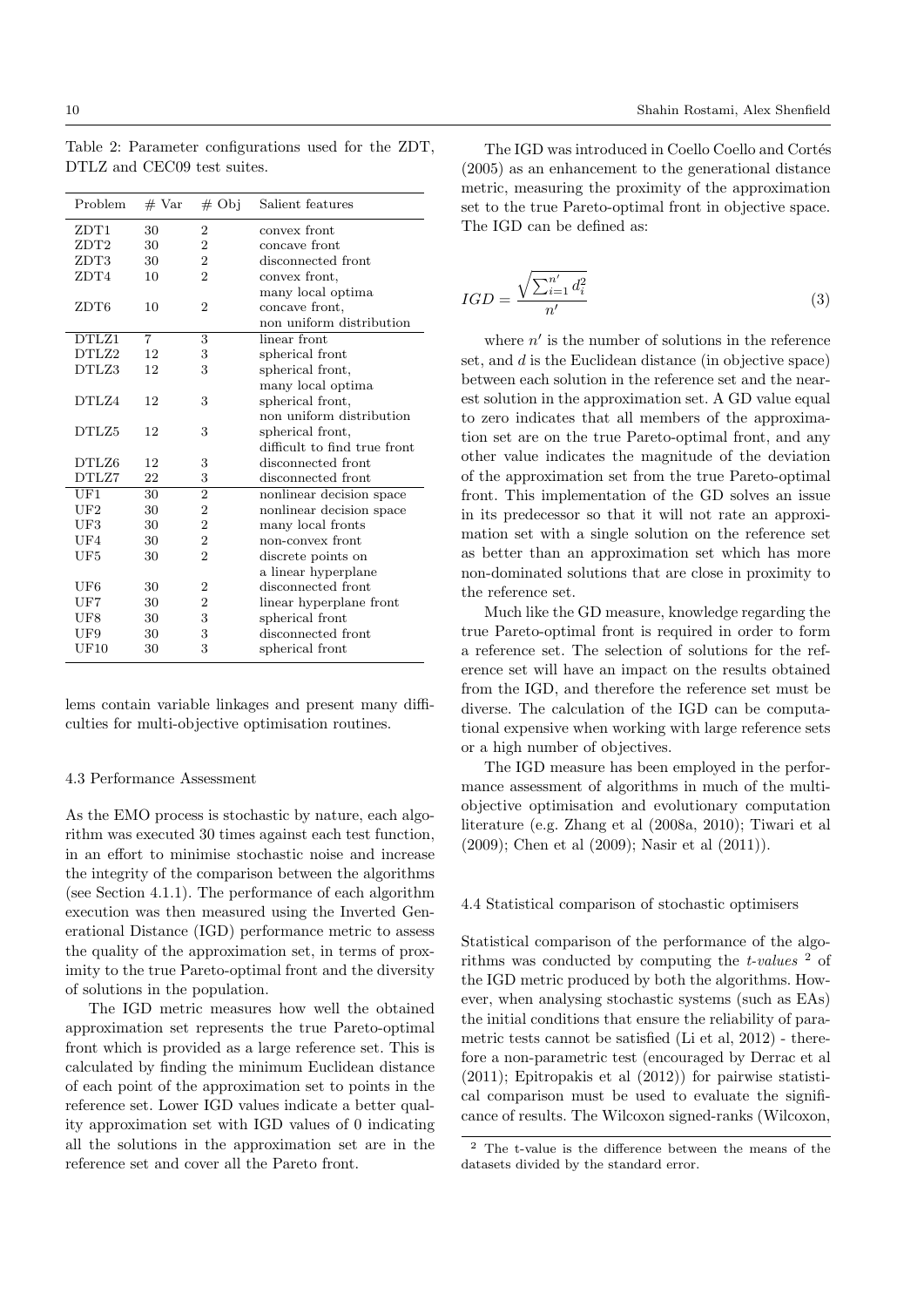Problem  $# \nabla x$   $# \nabla b$ j Salient features ZDT1 30 2 convex front zDT2 30 2 concave front<br>ZDT3 30 2 disconnected 30 2 disconnected front ZDT4 10 2 convex front, many local optima ZDT6 10 2 concave front, non uniform distribution DTLZ1 7 3 linear front<br>DTLZ2 12 3 spherical frame spherical front DTLZ3 12 3 spherical front, many local optima DTLZ4 12 3 spherical front, non uniform distribution DTLZ5 12 3 spherical front, difficult to find true front DTLZ6 12 3 disconnected front DTLZ7 22 3 disconnected front<br>UF1 30 2 nonlinear decision nonlinear decision space UF2 30 2 nonlinear decision space<br>UF3 30 2 many local fronts UF3 30 2 many local fronts<br>UF4 30 2 non-convex front UF4 30 2 non-convex front UF5 30 2 discrete points on a linear hyperplane UF6 30 2 disconnected front<br>UF7 30 2 linear hyperplane UF7 30 2 linear hyperplane front UF8 30 3 spherical front UF9 30 3 disconnected front UF10 30 3 spherical front

e ZDT, DTLZ and CEC09 test suites.

lems contain variable linkages and present many difficulties for multi-objective optimisation routines.

#### 4.3 Performance Assessment

As the EMO process is stochastic by nature, each algorithm was executed 30 times against each test function, in an effort to minimise stochastic noise and increase the integrity of the comparison between the algorithms (see Section 4.1.1). The performance of each algorithm execution was then measured using the Inverted Generational Distance (IGD) performance metric to assess the quality of the approximation set, in terms of proximity to the true Pareto-optimal front and the diversity of solutions in the population.

The IGD metric measures how well the obtained approximation set represents the true Pareto-optimal front which is provided as a large reference set. This is calculated by finding the minimum Euclidean distance of each point of the approximation set to points in the reference set. Lower IGD values indicate a better quality approximation set with IGD values of 0 indicating all the solutions in the approximation set are in the reference set and cover all the Pareto front.

The IGD was introduced in Coello Coello and Cortés (2005) as an enhancement to the generational distance metric, measuring the proximity of the approximation set to the true Pareto-optimal front in objective space. The IGD can be defined as:

$$
IGD = \frac{\sqrt{\sum_{i=1}^{n'} d_i^2}}{n'}
$$
\n
$$
(3)
$$

where  $n'$  is the number of solutions in the reference set, and d is the Euclidean distance (in objective space) between each solution in the reference set and the nearest solution in the approximation set. A GD value equal to zero indicates that all members of the approximation set are on the true Pareto-optimal front, and any other value indicates the magnitude of the deviation of the approximation set from the true Pareto-optimal front. This implementation of the GD solves an issue in its predecessor so that it will not rate an approximation set with a single solution on the reference set as better than an approximation set which has more non-dominated solutions that are close in proximity to the reference set.

Much like the GD measure, knowledge regarding the true Pareto-optimal front is required in order to form a reference set. The selection of solutions for the reference set will have an impact on the results obtained from the IGD, and therefore the reference set must be diverse. The calculation of the IGD can be computational expensive when working with large reference sets or a high number of objectives.

The IGD measure has been employed in the performance assessment of algorithms in much of the multiobjective optimisation and evolutionary computation literature (e.g. Zhang et al (2008a, 2010); Tiwari et al (2009); Chen et al (2009); Nasir et al (2011)).

#### 4.4 Statistical comparison of stochastic optimisers

Statistical comparison of the performance of the algorithms was conducted by computing the  $t$ -values  $^2$  of the IGD metric produced by both the algorithms. However, when analysing stochastic systems (such as EAs) the initial conditions that ensure the reliability of parametric tests cannot be satisfied (Li et al, 2012) - therefore a non-parametric test (encouraged by Derrac et al (2011); Epitropakis et al (2012)) for pairwise statistical comparison must be used to evaluate the significance of results. The Wilcoxon signed-ranks (Wilcoxon,

|                             | Table 2: Parameter configurations used for the |  |  |
|-----------------------------|------------------------------------------------|--|--|
| DTLZ and CEC09 test suites. |                                                |  |  |

<sup>2</sup> The t-value is the difference between the means of the datasets divided by the standard error.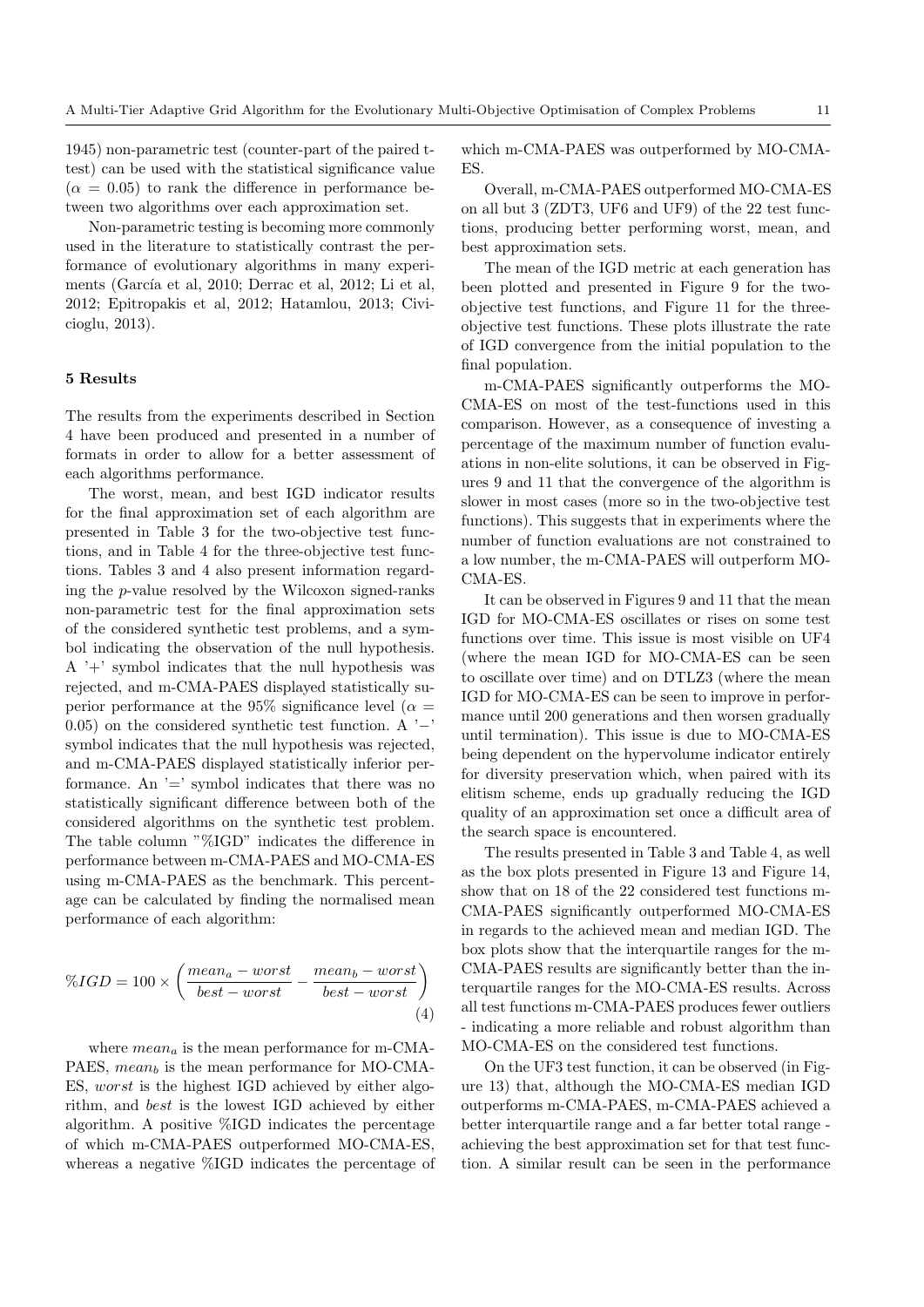1945) non-parametric test (counter-part of the paired ttest) can be used with the statistical significance value  $(\alpha = 0.05)$  to rank the difference in performance between two algorithms over each approximation set.

Non-parametric testing is becoming more commonly used in the literature to statistically contrast the performance of evolutionary algorithms in many experiments (García et al, 2010; Derrac et al, 2012; Li et al, 2012; Epitropakis et al, 2012; Hatamlou, 2013; Civicioglu, 2013).

## 5 Results

The results from the experiments described in Section 4 have been produced and presented in a number of formats in order to allow for a better assessment of each algorithms performance.

The worst, mean, and best IGD indicator results for the final approximation set of each algorithm are presented in Table 3 for the two-objective test functions, and in Table 4 for the three-objective test functions. Tables 3 and 4 also present information regarding the p-value resolved by the Wilcoxon signed-ranks non-parametric test for the final approximation sets of the considered synthetic test problems, and a symbol indicating the observation of the null hypothesis. A '+' symbol indicates that the null hypothesis was rejected, and m-CMA-PAES displayed statistically superior performance at the 95% significance level ( $\alpha =$ 0.05) on the considered synthetic test function. A  $\prime$  -' symbol indicates that the null hypothesis was rejected, and m-CMA-PAES displayed statistically inferior performance. An  $=$ ' symbol indicates that there was no statistically significant difference between both of the considered algorithms on the synthetic test problem. The table column "%IGD" indicates the difference in performance between m-CMA-PAES and MO-CMA-ES using m-CMA-PAES as the benchmark. This percentage can be calculated by finding the normalised mean performance of each algorithm:

$$
\%IGD = 100 \times \left(\frac{mean_a - worst}{best - worst} - \frac{mean_b - worst}{best - worst}\right) \tag{4}
$$

where  $mean_a$  is the mean performance for m-CMA-PAES, mean<sub>b</sub> is the mean performance for MO-CMA-ES, worst is the highest IGD achieved by either algorithm, and best is the lowest IGD achieved by either algorithm. A positive %IGD indicates the percentage of which m-CMA-PAES outperformed MO-CMA-ES, whereas a negative %IGD indicates the percentage of

which m-CMA-PAES was outperformed by MO-CMA-ES.

Overall, m-CMA-PAES outperformed MO-CMA-ES on all but 3 (ZDT3, UF6 and UF9) of the 22 test functions, producing better performing worst, mean, and best approximation sets.

The mean of the IGD metric at each generation has been plotted and presented in Figure 9 for the twoobjective test functions, and Figure 11 for the threeobjective test functions. These plots illustrate the rate of IGD convergence from the initial population to the final population.

m-CMA-PAES significantly outperforms the MO-CMA-ES on most of the test-functions used in this comparison. However, as a consequence of investing a percentage of the maximum number of function evaluations in non-elite solutions, it can be observed in Figures 9 and 11 that the convergence of the algorithm is slower in most cases (more so in the two-objective test functions). This suggests that in experiments where the number of function evaluations are not constrained to a low number, the m-CMA-PAES will outperform MO-CMA-ES.

It can be observed in Figures 9 and 11 that the mean IGD for MO-CMA-ES oscillates or rises on some test functions over time. This issue is most visible on UF4 (where the mean IGD for MO-CMA-ES can be seen to oscillate over time) and on DTLZ3 (where the mean IGD for MO-CMA-ES can be seen to improve in performance until 200 generations and then worsen gradually until termination). This issue is due to MO-CMA-ES being dependent on the hypervolume indicator entirely for diversity preservation which, when paired with its elitism scheme, ends up gradually reducing the IGD quality of an approximation set once a difficult area of the search space is encountered.

The results presented in Table 3 and Table 4, as well as the box plots presented in Figure 13 and Figure 14, show that on 18 of the 22 considered test functions m-CMA-PAES significantly outperformed MO-CMA-ES in regards to the achieved mean and median IGD. The box plots show that the interquartile ranges for the m-CMA-PAES results are significantly better than the interquartile ranges for the MO-CMA-ES results. Across all test functions m-CMA-PAES produces fewer outliers - indicating a more reliable and robust algorithm than MO-CMA-ES on the considered test functions.

On the UF3 test function, it can be observed (in Figure 13) that, although the MO-CMA-ES median IGD outperforms m-CMA-PAES, m-CMA-PAES achieved a better interquartile range and a far better total range achieving the best approximation set for that test function. A similar result can be seen in the performance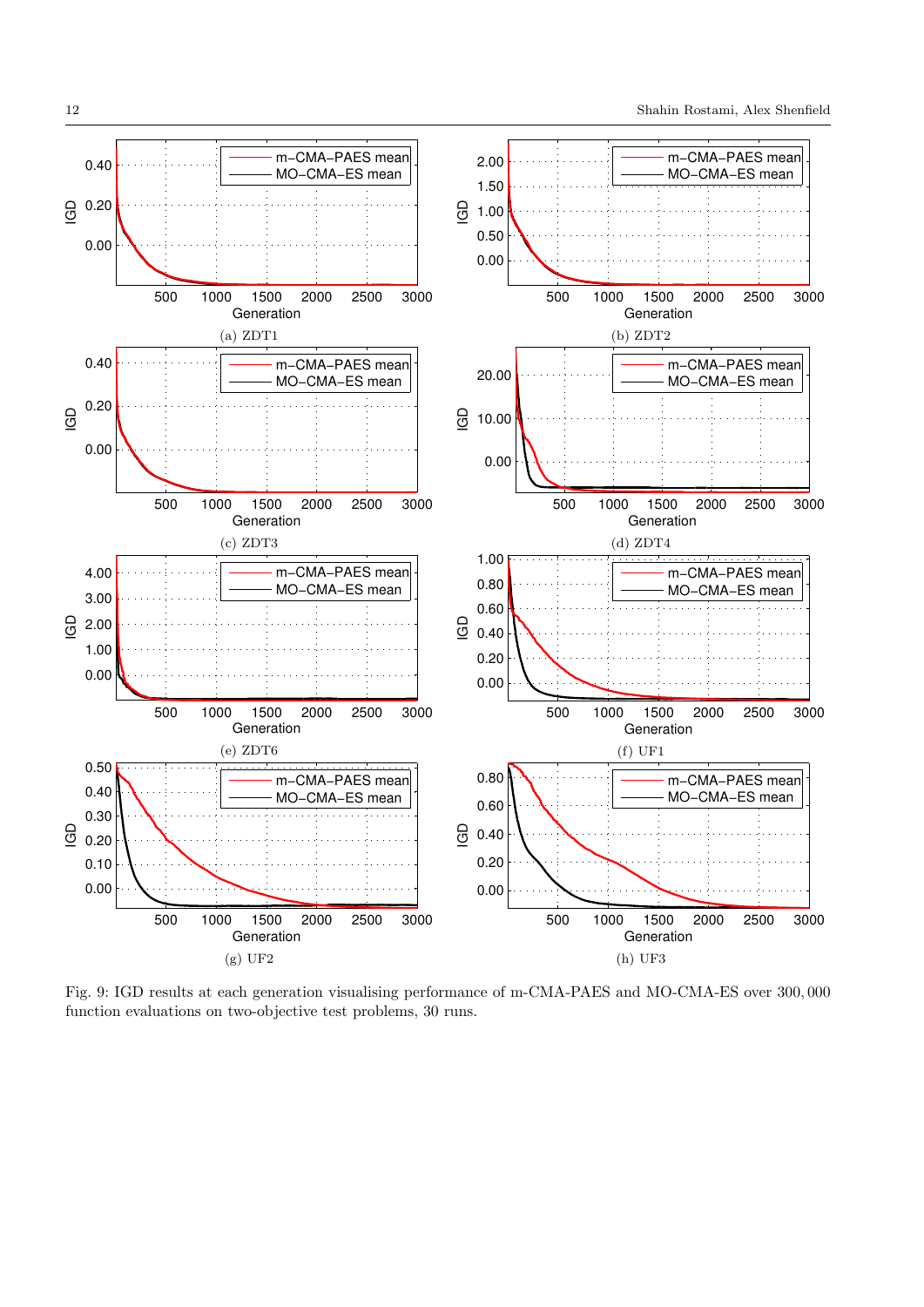

Fig. 9: IGD results at each generation visualising performance of m-CMA-PAES and MO-CMA-ES over 300, 000 function evaluations on two-objective test problems, 30 runs.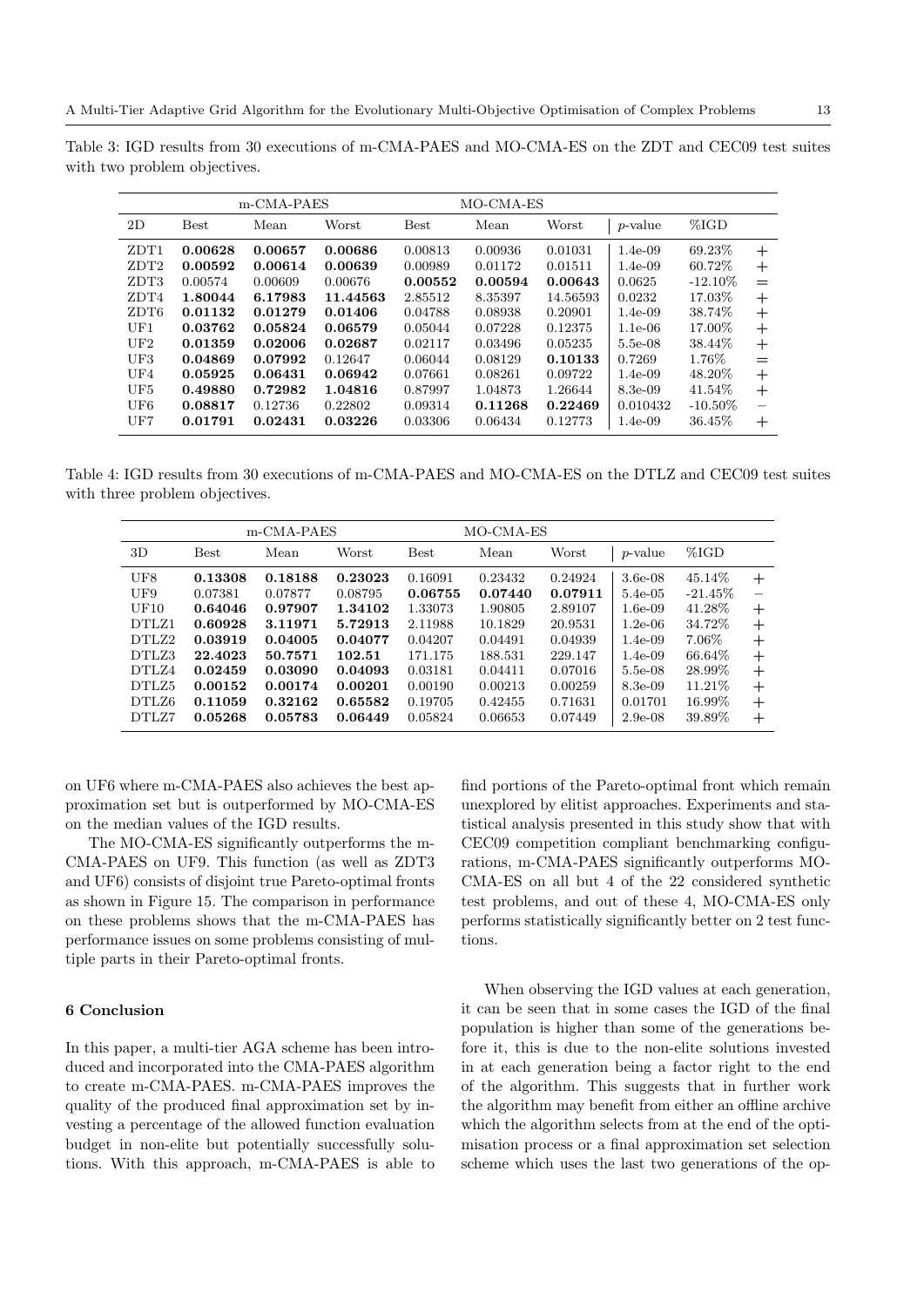Table 3: IGD results from 30 executions of m-CMA-PAES and MO-CMA-ES on the ZDT and CEC09 test suites with two problem objectives.

|                  |             | m-CMA-PAES |          |             | MO-CMA-ES |          |            |            |                          |
|------------------|-------------|------------|----------|-------------|-----------|----------|------------|------------|--------------------------|
| 2D               | <b>Best</b> | Mean       | Worst    | <b>Best</b> | Mean      | Worst    | $p$ -value | $\%$ IGD   |                          |
| ZDT1             | 0.00628     | 0.00657    | 0.00686  | 0.00813     | 0.00936   | 0.01031  | $1.4e-0.9$ | 69.23%     | $^{+}$                   |
| ZDT <sub>2</sub> | 0.00592     | 0.00614    | 0.00639  | 0.00989     | 0.01172   | 0.01511  | $1.4e-0.9$ | 60.72\%    | $^{+}$                   |
| ZDT3             | 0.00574     | 0.00609    | 0.00676  | 0.00552     | 0.00594   | 0.00643  | 0.0625     | $-12.10\%$ | $=$                      |
| ZDT4             | 1.80044     | 6.17983    | 11.44563 | 2.85512     | 8.35397   | 14.56593 | 0.0232     | 17.03%     | $^{+}$                   |
| ZDT6             | 0.01132     | 0.01279    | 0.01406  | 0.04788     | 0.08938   | 0.20901  | $1.4e-0.9$ | 38.74\%    | $^{+}$                   |
| UF1              | 0.03762     | 0.05824    | 0.06579  | 0.05044     | 0.07228   | 0.12375  | $1.1e-06$  | 17.00%     | $^{+}$                   |
| UF2              | 0.01359     | 0.02006    | 0.02687  | 0.02117     | 0.03496   | 0.05235  | $5.5e-08$  | 38.44\%    | $^{+}$                   |
| UF3              | 0.04869     | 0.07992    | 0.12647  | 0.06044     | 0.08129   | 0.10133  | 0.7269     | 1.76\%     | $=$                      |
| UFA              | 0.05925     | 0.06431    | 0.06942  | 0.07661     | 0.08261   | 0.09722  | $1.4e-0.9$ | 48.20%     | $^{+}$                   |
| UF5              | 0.49880     | 0.72982    | 1.04816  | 0.87997     | 1.04873   | 1.26644  | 8.3e-09    | 41.54%     | $^{+}$                   |
| UF <sub>6</sub>  | 0.08817     | 0.12736    | 0.22802  | 0.09314     | 0.11268   | 0.22469  | 0.010432   | $-10.50\%$ | $\overline{\phantom{0}}$ |
| UF7              | 0.01791     | 0.02431    | 0.03226  | 0.03306     | 0.06434   | 0.12773  | $1.4e-0.9$ | 36.45\%    | $^{+}$                   |

Table 4: IGD results from 30 executions of m-CMA-PAES and MO-CMA-ES on the DTLZ and CEC09 test suites with three problem objectives.

|                 |             | m-CMA-PAES |         |             | MO-CMA-ES |         |                 |            |        |
|-----------------|-------------|------------|---------|-------------|-----------|---------|-----------------|------------|--------|
| 3D              | <b>Best</b> | Mean       | Worst   | <b>Best</b> | Mean      | Worst   | <i>p</i> -value | $\%$ IGD   |        |
| UF <sub>8</sub> | 0.13308     | 0.18188    | 0.23023 | 0.16091     | 0.23432   | 0.24924 | $3.6e-0.8$      | 45.14\%    | $^{+}$ |
| UF9             | 0.07381     | 0.07877    | 0.08795 | 0.06755     | 0.07440   | 0.07911 | $5.4e-0.5$      | $-21.45\%$ |        |
| UF10            | 0.64046     | 0.97907    | 1.34102 | 1.33073     | 1.90805   | 2.89107 | $1.6e-0.9$      | 41.28%     | $\div$ |
| DTLZ1           | 0.60928     | 3.11971    | 5.72913 | 2.11988     | 10.1829   | 20.9531 | $1.2e-06$       | 34.72%     | $^{+}$ |
| DTLZ2           | 0.03919     | 0.04005    | 0.04077 | 0.04207     | 0.04491   | 0.04939 | $1.4e-0.9$      | $7.06\%$   | $^{+}$ |
| DTLZ3           | 22.4023     | 50.7571    | 102.51  | 171.175     | 188.531   | 229.147 | $1.4e-0.9$      | 66.64\%    | $^{+}$ |
| DTLZ4           | 0.02459     | 0.03090    | 0.04093 | 0.03181     | 0.04411   | 0.07016 | 5.5e-08         | 28.99%     | $^{+}$ |
| DTLZ5           | 0.00152     | 0.00174    | 0.00201 | 0.00190     | 0.00213   | 0.00259 | 8.3e-09         | 11.21\%    | $^{+}$ |
| DTLZ6           | 0.11059     | 0.32162    | 0.65582 | 0.19705     | 0.42455   | 0.71631 | 0.01701         | 16.99%     | $^{+}$ |
| DTLZ7           | 0.05268     | 0.05783    | 0.06449 | 0.05824     | 0.06653   | 0.07449 | $2.9e-08$       | 39.89%     | $\div$ |

on UF6 where m-CMA-PAES also achieves the best approximation set but is outperformed by MO-CMA-ES on the median values of the IGD results.

The MO-CMA-ES significantly outperforms the m-CMA-PAES on UF9. This function (as well as ZDT3 and UF6) consists of disjoint true Pareto-optimal fronts as shown in Figure 15. The comparison in performance on these problems shows that the m-CMA-PAES has performance issues on some problems consisting of multiple parts in their Pareto-optimal fronts.

# 6 Conclusion

In this paper, a multi-tier AGA scheme has been introduced and incorporated into the CMA-PAES algorithm to create m-CMA-PAES. m-CMA-PAES improves the quality of the produced final approximation set by investing a percentage of the allowed function evaluation budget in non-elite but potentially successfully solutions. With this approach, m-CMA-PAES is able to

find portions of the Pareto-optimal front which remain unexplored by elitist approaches. Experiments and statistical analysis presented in this study show that with CEC09 competition compliant benchmarking configurations, m-CMA-PAES significantly outperforms MO-CMA-ES on all but 4 of the 22 considered synthetic test problems, and out of these 4, MO-CMA-ES only performs statistically significantly better on 2 test functions.

When observing the IGD values at each generation, it can be seen that in some cases the IGD of the final population is higher than some of the generations before it, this is due to the non-elite solutions invested in at each generation being a factor right to the end of the algorithm. This suggests that in further work the algorithm may benefit from either an offline archive which the algorithm selects from at the end of the optimisation process or a final approximation set selection scheme which uses the last two generations of the op-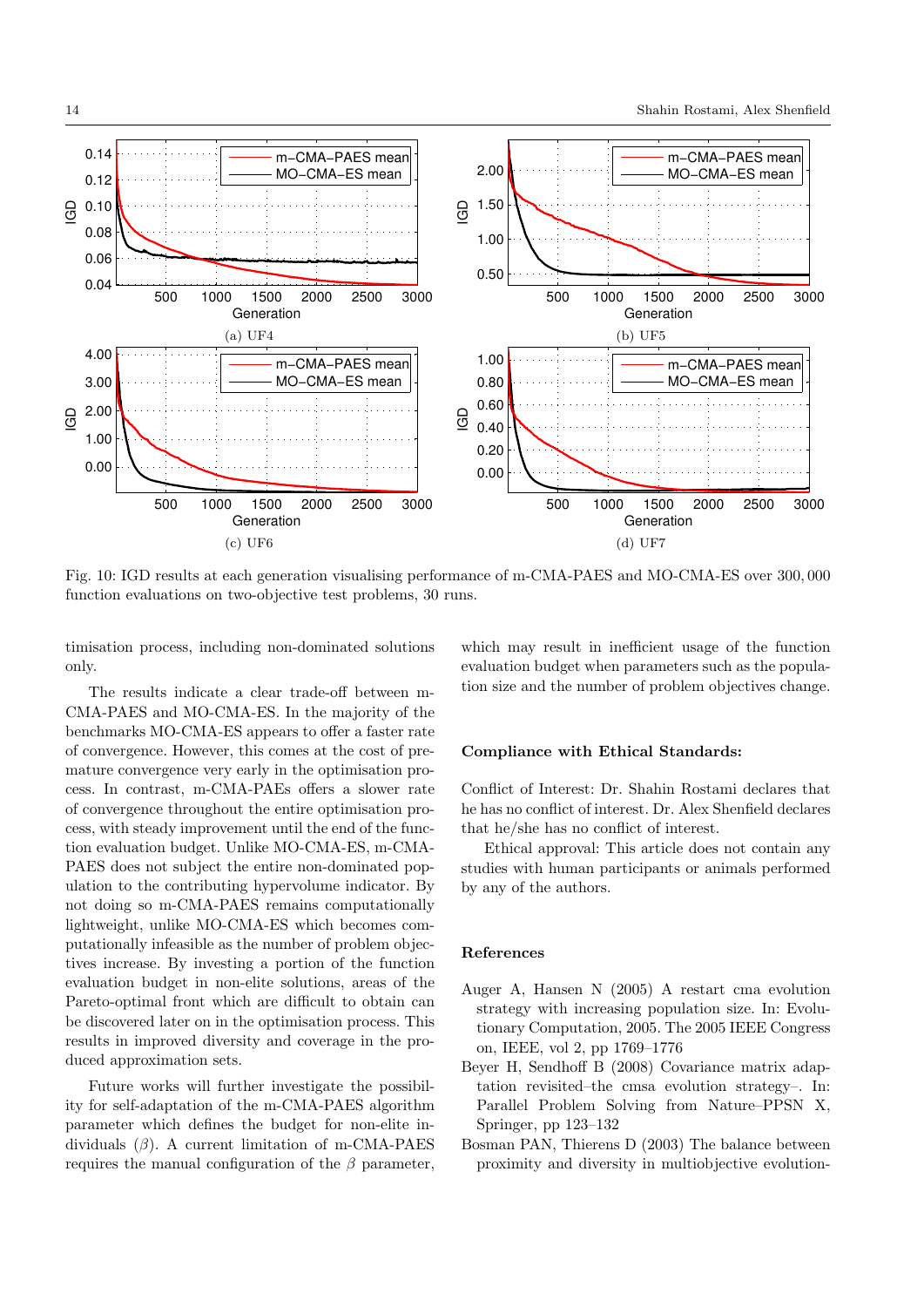

Fig. 10: IGD results at each generation visualising performance of m-CMA-PAES and MO-CMA-ES over 300, 000 function evaluations on two-objective test problems, 30 runs.

timisation process, including non-dominated solutions only.

The results indicate a clear trade-off between m-CMA-PAES and MO-CMA-ES. In the majority of the benchmarks MO-CMA-ES appears to offer a faster rate of convergence. However, this comes at the cost of premature convergence very early in the optimisation process. In contrast, m-CMA-PAEs offers a slower rate of convergence throughout the entire optimisation process, with steady improvement until the end of the function evaluation budget. Unlike MO-CMA-ES, m-CMA-PAES does not subject the entire non-dominated population to the contributing hypervolume indicator. By not doing so m-CMA-PAES remains computationally lightweight, unlike MO-CMA-ES which becomes computationally infeasible as the number of problem objectives increase. By investing a portion of the function evaluation budget in non-elite solutions, areas of the Pareto-optimal front which are difficult to obtain can be discovered later on in the optimisation process. This results in improved diversity and coverage in the produced approximation sets.

Future works will further investigate the possibility for self-adaptation of the m-CMA-PAES algorithm parameter which defines the budget for non-elite individuals  $(\beta)$ . A current limitation of m-CMA-PAES requires the manual configuration of the  $\beta$  parameter,

which may result in inefficient usage of the function evaluation budget when parameters such as the population size and the number of problem objectives change.

## Compliance with Ethical Standards:

Conflict of Interest: Dr. Shahin Rostami declares that he has no conflict of interest. Dr. Alex Shenfield declares that he/she has no conflict of interest.

Ethical approval: This article does not contain any studies with human participants or animals performed by any of the authors.

## References

- Auger A, Hansen N (2005) A restart cma evolution strategy with increasing population size. In: Evolutionary Computation, 2005. The 2005 IEEE Congress on, IEEE, vol 2, pp 1769–1776
- Beyer H, Sendhoff B (2008) Covariance matrix adaptation revisited–the cmsa evolution strategy–. In: Parallel Problem Solving from Nature–PPSN X, Springer, pp 123–132
- Bosman PAN, Thierens D (2003) The balance between proximity and diversity in multiobjective evolution-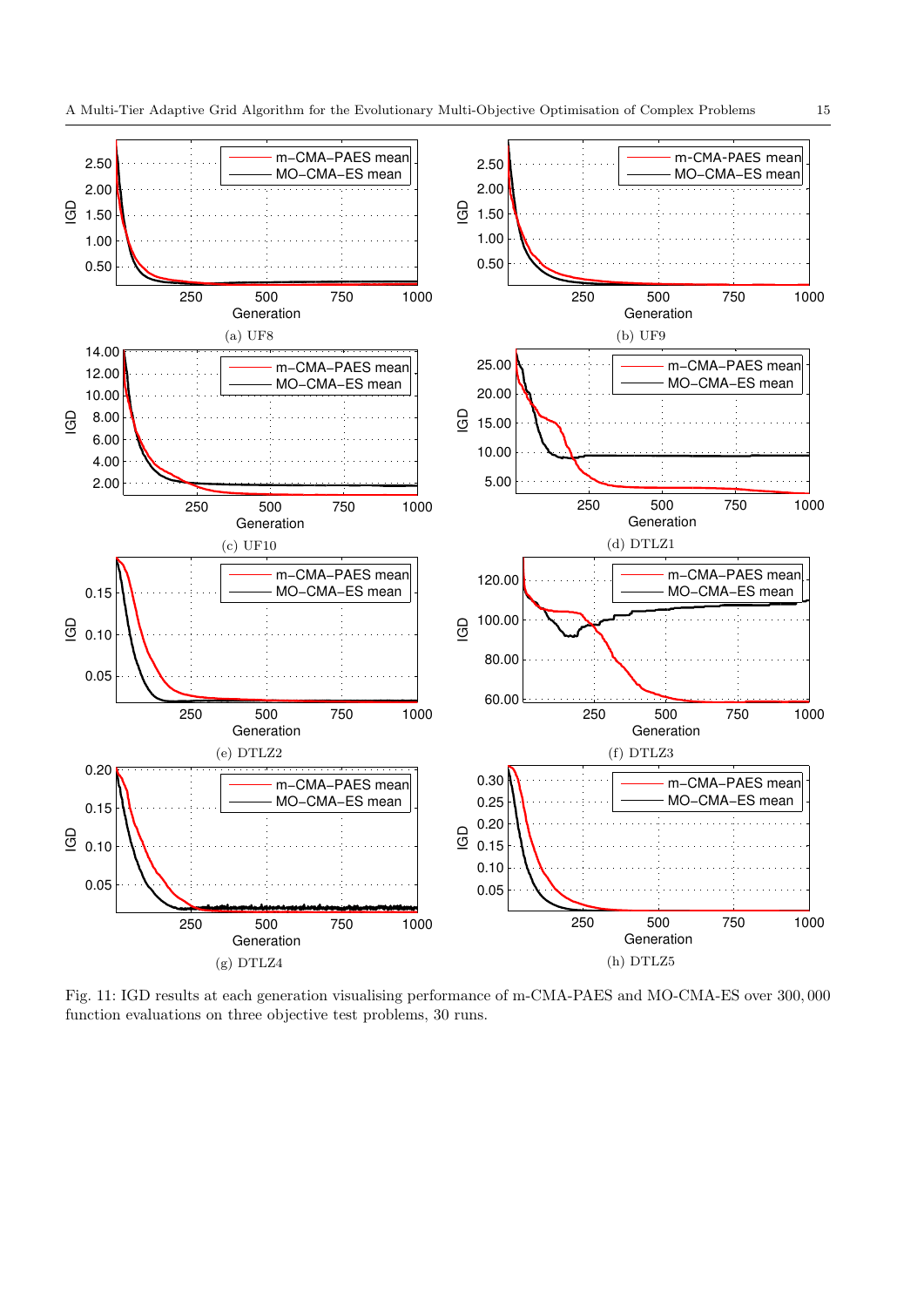

Fig. 11: IGD results at each generation visualising performance of m-CMA-PAES and MO-CMA-ES over 300, 000 function evaluations on three objective test problems, 30 runs.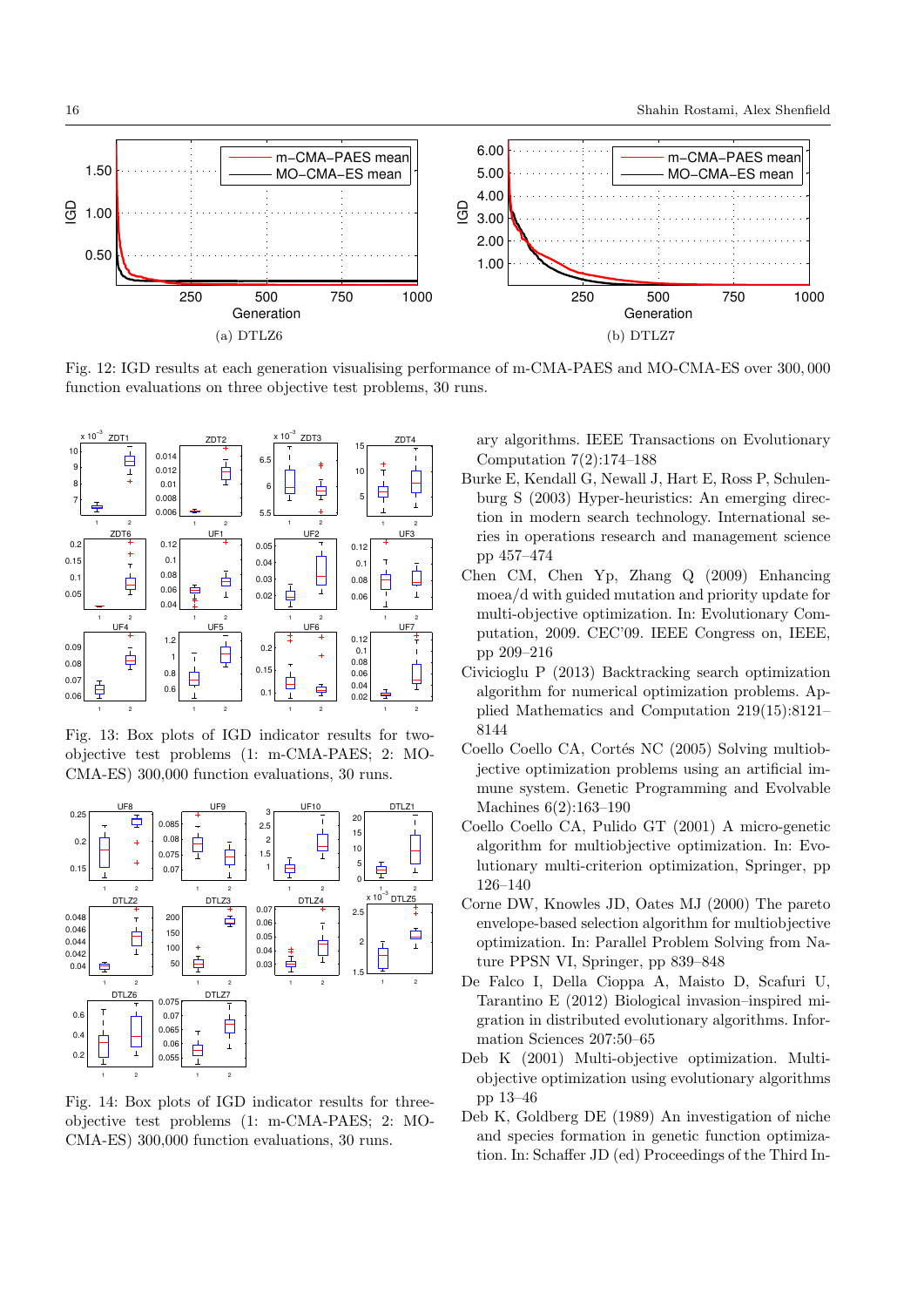

Fig. 12: IGD results at each generation visualising performance of m-CMA-PAES and MO-CMA-ES over 300, 000 function evaluations on three objective test problems, 30 runs.



Fig. 13: Box plots of IGD indicator results for twoobjective test problems (1: m-CMA-PAES; 2: MO-CMA-ES) 300,000 function evaluations, 30 runs.



Fig. 14: Box plots of IGD indicator results for threeobjective test problems (1: m-CMA-PAES; 2: MO-CMA-ES) 300,000 function evaluations, 30 runs.

ary algorithms. IEEE Transactions on Evolutionary Computation 7(2):174–188

- Burke E, Kendall G, Newall J, Hart E, Ross P, Schulenburg S (2003) Hyper-heuristics: An emerging direction in modern search technology. International series in operations research and management science pp 457–474
- Chen CM, Chen Yp, Zhang Q (2009) Enhancing moea/d with guided mutation and priority update for multi-objective optimization. In: Evolutionary Computation, 2009. CEC'09. IEEE Congress on, IEEE, pp 209–216
- Civicioglu P (2013) Backtracking search optimization algorithm for numerical optimization problems. Applied Mathematics and Computation 219(15):8121– 8144
- Coello Coello CA, Cortés NC (2005) Solving multiobjective optimization problems using an artificial immune system. Genetic Programming and Evolvable Machines 6(2):163–190
- Coello Coello CA, Pulido GT (2001) A micro-genetic algorithm for multiobjective optimization. In: Evolutionary multi-criterion optimization, Springer, pp 126–140
- Corne DW, Knowles JD, Oates MJ (2000) The pareto envelope-based selection algorithm for multiobjective optimization. In: Parallel Problem Solving from Nature PPSN VI, Springer, pp 839–848
- De Falco I, Della Cioppa A, Maisto D, Scafuri U, Tarantino E (2012) Biological invasion–inspired migration in distributed evolutionary algorithms. Information Sciences 207:50–65
- Deb K (2001) Multi-objective optimization. Multiobjective optimization using evolutionary algorithms pp 13–46
- Deb K, Goldberg DE (1989) An investigation of niche and species formation in genetic function optimization. In: Schaffer JD (ed) Proceedings of the Third In-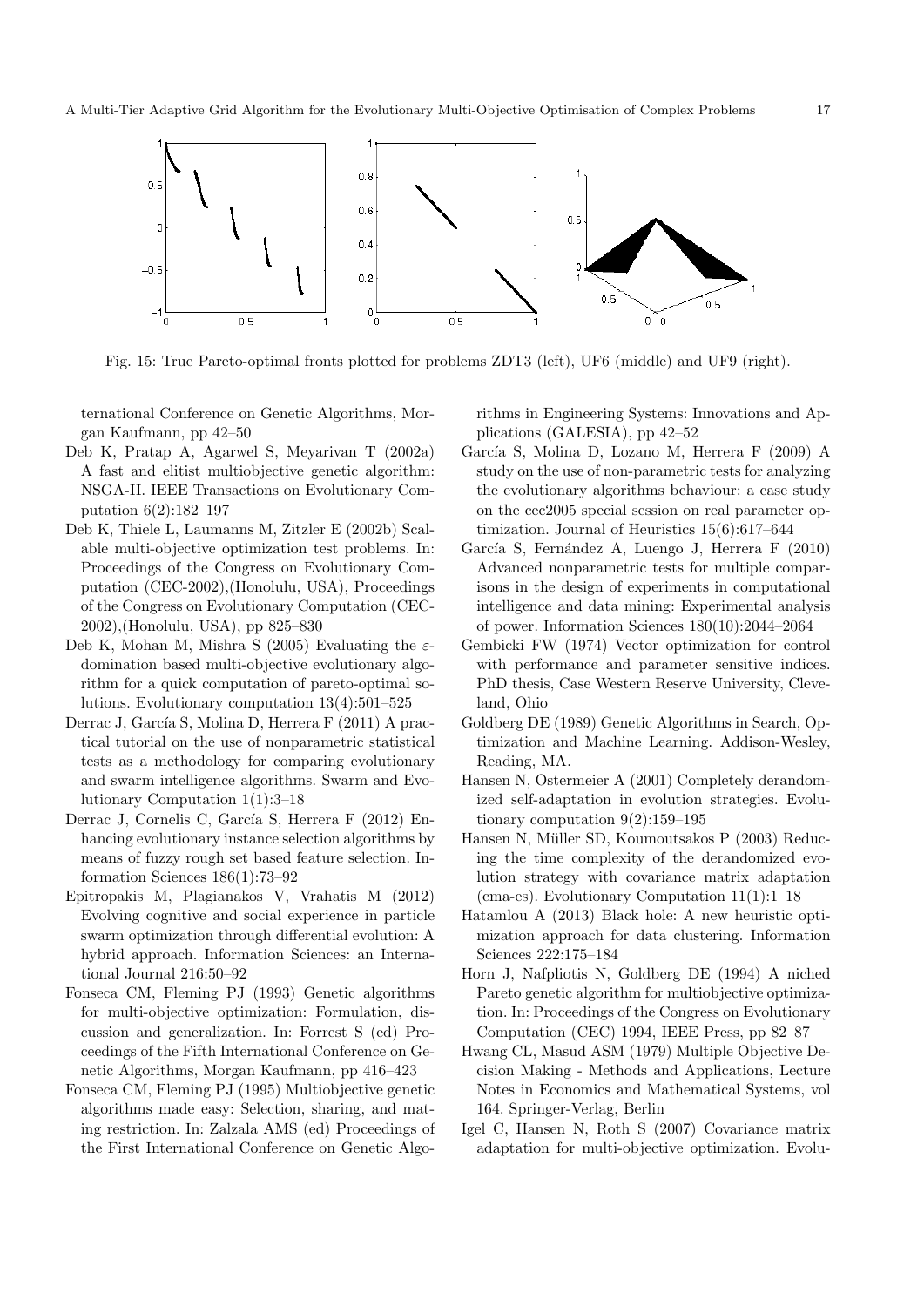

Fig. 15: True Pareto-optimal fronts plotted for problems ZDT3 (left), UF6 (middle) and UF9 (right).

ternational Conference on Genetic Algorithms, Morgan Kaufmann, pp 42–50

- Deb K, Pratap A, Agarwel S, Meyarivan T (2002a) A fast and elitist multiobjective genetic algorithm: NSGA-II. IEEE Transactions on Evolutionary Computation 6(2):182–197
- Deb K, Thiele L, Laumanns M, Zitzler E (2002b) Scalable multi-objective optimization test problems. In: Proceedings of the Congress on Evolutionary Computation (CEC-2002),(Honolulu, USA), Proceedings of the Congress on Evolutionary Computation (CEC-2002),(Honolulu, USA), pp 825–830
- Deb K, Mohan M, Mishra S (2005) Evaluating the  $\varepsilon$ domination based multi-objective evolutionary algorithm for a quick computation of pareto-optimal solutions. Evolutionary computation 13(4):501–525
- Derrac J, García S, Molina D, Herrera F (2011) A practical tutorial on the use of nonparametric statistical tests as a methodology for comparing evolutionary and swarm intelligence algorithms. Swarm and Evolutionary Computation 1(1):3–18
- Derrac J, Cornelis C, García S, Herrera F (2012) Enhancing evolutionary instance selection algorithms by means of fuzzy rough set based feature selection. Information Sciences 186(1):73–92
- Epitropakis M, Plagianakos V, Vrahatis M (2012) Evolving cognitive and social experience in particle swarm optimization through differential evolution: A hybrid approach. Information Sciences: an International Journal 216:50–92
- Fonseca CM, Fleming PJ (1993) Genetic algorithms for multi-objective optimization: Formulation, discussion and generalization. In: Forrest S (ed) Proceedings of the Fifth International Conference on Genetic Algorithms, Morgan Kaufmann, pp 416–423
- Fonseca CM, Fleming PJ (1995) Multiobjective genetic algorithms made easy: Selection, sharing, and mating restriction. In: Zalzala AMS (ed) Proceedings of the First International Conference on Genetic Algo-

rithms in Engineering Systems: Innovations and Applications (GALESIA), pp 42–52

- García S, Molina D, Lozano M, Herrera F (2009) A study on the use of non-parametric tests for analyzing the evolutionary algorithms behaviour: a case study on the cec2005 special session on real parameter optimization. Journal of Heuristics 15(6):617–644
- García S, Fernández A, Luengo J, Herrera F (2010) Advanced nonparametric tests for multiple comparisons in the design of experiments in computational intelligence and data mining: Experimental analysis of power. Information Sciences 180(10):2044–2064
- Gembicki FW (1974) Vector optimization for control with performance and parameter sensitive indices. PhD thesis, Case Western Reserve University, Cleveland, Ohio
- Goldberg DE (1989) Genetic Algorithms in Search, Optimization and Machine Learning. Addison-Wesley, Reading, MA.
- Hansen N, Ostermeier A (2001) Completely derandomized self-adaptation in evolution strategies. Evolutionary computation 9(2):159–195
- Hansen N, Müller SD, Koumoutsakos P (2003) Reducing the time complexity of the derandomized evolution strategy with covariance matrix adaptation (cma-es). Evolutionary Computation 11(1):1–18
- Hatamlou A (2013) Black hole: A new heuristic optimization approach for data clustering. Information Sciences 222:175–184
- Horn J, Nafpliotis N, Goldberg DE (1994) A niched Pareto genetic algorithm for multiobjective optimization. In: Proceedings of the Congress on Evolutionary Computation (CEC) 1994, IEEE Press, pp 82–87
- Hwang CL, Masud ASM (1979) Multiple Objective Decision Making - Methods and Applications, Lecture Notes in Economics and Mathematical Systems, vol 164. Springer-Verlag, Berlin
- Igel C, Hansen N, Roth S (2007) Covariance matrix adaptation for multi-objective optimization. Evolu-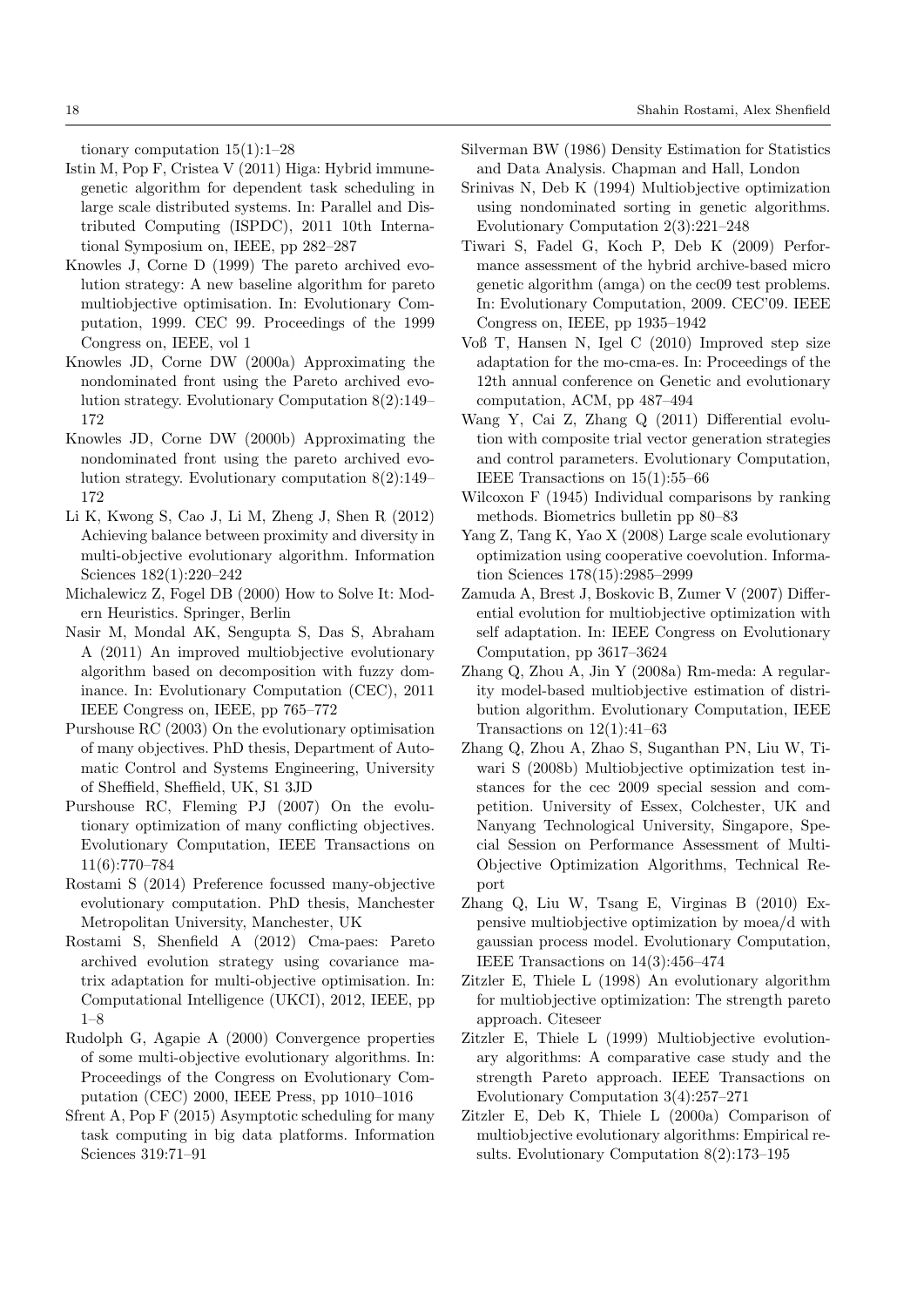tionary computation 15(1):1–28

- Istin M, Pop F, Cristea V (2011) Higa: Hybrid immunegenetic algorithm for dependent task scheduling in large scale distributed systems. In: Parallel and Distributed Computing (ISPDC), 2011 10th International Symposium on, IEEE, pp 282–287
- Knowles J, Corne D (1999) The pareto archived evolution strategy: A new baseline algorithm for pareto multiobjective optimisation. In: Evolutionary Computation, 1999. CEC 99. Proceedings of the 1999 Congress on, IEEE, vol 1
- Knowles JD, Corne DW (2000a) Approximating the nondominated front using the Pareto archived evolution strategy. Evolutionary Computation 8(2):149– 172
- Knowles JD, Corne DW (2000b) Approximating the nondominated front using the pareto archived evolution strategy. Evolutionary computation 8(2):149– 172
- Li K, Kwong S, Cao J, Li M, Zheng J, Shen R (2012) Achieving balance between proximity and diversity in multi-objective evolutionary algorithm. Information Sciences 182(1):220–242
- Michalewicz Z, Fogel DB (2000) How to Solve It: Modern Heuristics. Springer, Berlin
- Nasir M, Mondal AK, Sengupta S, Das S, Abraham A (2011) An improved multiobjective evolutionary algorithm based on decomposition with fuzzy dominance. In: Evolutionary Computation (CEC), 2011 IEEE Congress on, IEEE, pp 765–772
- Purshouse RC (2003) On the evolutionary optimisation of many objectives. PhD thesis, Department of Automatic Control and Systems Engineering, University of Sheffield, Sheffield, UK, S1 3JD
- Purshouse RC, Fleming PJ (2007) On the evolutionary optimization of many conflicting objectives. Evolutionary Computation, IEEE Transactions on 11(6):770–784
- Rostami S (2014) Preference focussed many-objective evolutionary computation. PhD thesis, Manchester Metropolitan University, Manchester, UK
- Rostami S, Shenfield A (2012) Cma-paes: Pareto archived evolution strategy using covariance matrix adaptation for multi-objective optimisation. In: Computational Intelligence (UKCI), 2012, IEEE, pp 1–8
- Rudolph G, Agapie A (2000) Convergence properties of some multi-objective evolutionary algorithms. In: Proceedings of the Congress on Evolutionary Computation (CEC) 2000, IEEE Press, pp 1010–1016
- Sfrent A, Pop F (2015) Asymptotic scheduling for many task computing in big data platforms. Information Sciences 319:71–91
- Silverman BW (1986) Density Estimation for Statistics and Data Analysis. Chapman and Hall, London
- Srinivas N, Deb K (1994) Multiobjective optimization using nondominated sorting in genetic algorithms. Evolutionary Computation 2(3):221–248
- Tiwari S, Fadel G, Koch P, Deb K (2009) Performance assessment of the hybrid archive-based micro genetic algorithm (amga) on the cec09 test problems. In: Evolutionary Computation, 2009. CEC'09. IEEE Congress on, IEEE, pp 1935–1942
- Voß T, Hansen N, Igel C (2010) Improved step size adaptation for the mo-cma-es. In: Proceedings of the 12th annual conference on Genetic and evolutionary computation, ACM, pp 487–494
- Wang Y, Cai Z, Zhang Q (2011) Differential evolution with composite trial vector generation strategies and control parameters. Evolutionary Computation, IEEE Transactions on 15(1):55–66
- Wilcoxon F (1945) Individual comparisons by ranking methods. Biometrics bulletin pp 80–83
- Yang Z, Tang K, Yao X (2008) Large scale evolutionary optimization using cooperative coevolution. Information Sciences 178(15):2985–2999
- Zamuda A, Brest J, Boskovic B, Zumer V (2007) Differential evolution for multiobjective optimization with self adaptation. In: IEEE Congress on Evolutionary Computation, pp 3617–3624
- Zhang Q, Zhou A, Jin Y (2008a) Rm-meda: A regularity model-based multiobjective estimation of distribution algorithm. Evolutionary Computation, IEEE Transactions on  $12(1):41-63$
- Zhang Q, Zhou A, Zhao S, Suganthan PN, Liu W, Tiwari S (2008b) Multiobjective optimization test instances for the cec 2009 special session and competition. University of Essex, Colchester, UK and Nanyang Technological University, Singapore, Special Session on Performance Assessment of Multi-Objective Optimization Algorithms, Technical Report
- Zhang Q, Liu W, Tsang E, Virginas B (2010) Expensive multiobjective optimization by moea/d with gaussian process model. Evolutionary Computation, IEEE Transactions on 14(3):456–474
- Zitzler E, Thiele L (1998) An evolutionary algorithm for multiobjective optimization: The strength pareto approach. Citeseer
- Zitzler E, Thiele L (1999) Multiobjective evolutionary algorithms: A comparative case study and the strength Pareto approach. IEEE Transactions on Evolutionary Computation 3(4):257–271
- Zitzler E, Deb K, Thiele L (2000a) Comparison of multiobjective evolutionary algorithms: Empirical results. Evolutionary Computation 8(2):173–195